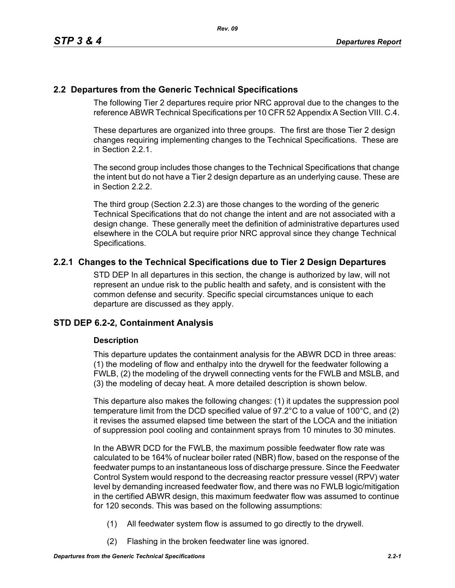# **2.2 Departures from the Generic Technical Specifications**

The following Tier 2 departures require prior NRC approval due to the changes to the reference ABWR Technical Specifications per 10 CFR 52 Appendix A Section VIII. C.4.

These departures are organized into three groups. The first are those Tier 2 design changes requiring implementing changes to the Technical Specifications. These are in Section 2.2.1.

The second group includes those changes to the Technical Specifications that change the intent but do not have a Tier 2 design departure as an underlying cause. These are in Section 2.2.2.

The third group (Section 2.2.3) are those changes to the wording of the generic Technical Specifications that do not change the intent and are not associated with a design change. These generally meet the definition of administrative departures used elsewhere in the COLA but require prior NRC approval since they change Technical Specifications.

# **2.2.1 Changes to the Technical Specifications due to Tier 2 Design Departures**

STD DEP In all departures in this section, the change is authorized by law, will not represent an undue risk to the public health and safety, and is consistent with the common defense and security. Specific special circumstances unique to each departure are discussed as they apply.

# **STD DEP 6.2-2, Containment Analysis**

## **Description**

This departure updates the containment analysis for the ABWR DCD in three areas: (1) the modeling of flow and enthalpy into the drywell for the feedwater following a FWLB, (2) the modeling of the drywell connecting vents for the FWLB and MSLB, and (3) the modeling of decay heat. A more detailed description is shown below.

This departure also makes the following changes: (1) it updates the suppression pool temperature limit from the DCD specified value of 97.2°C to a value of 100°C, and (2) it revises the assumed elapsed time between the start of the LOCA and the initiation of suppression pool cooling and containment sprays from 10 minutes to 30 minutes.

In the ABWR DCD for the FWLB, the maximum possible feedwater flow rate was calculated to be 164% of nuclear boiler rated (NBR) flow, based on the response of the feedwater pumps to an instantaneous loss of discharge pressure. Since the Feedwater Control System would respond to the decreasing reactor pressure vessel (RPV) water level by demanding increased feedwater flow, and there was no FWLB logic/mitigation in the certified ABWR design, this maximum feedwater flow was assumed to continue for 120 seconds. This was based on the following assumptions:

- (1) All feedwater system flow is assumed to go directly to the drywell.
- (2) Flashing in the broken feedwater line was ignored.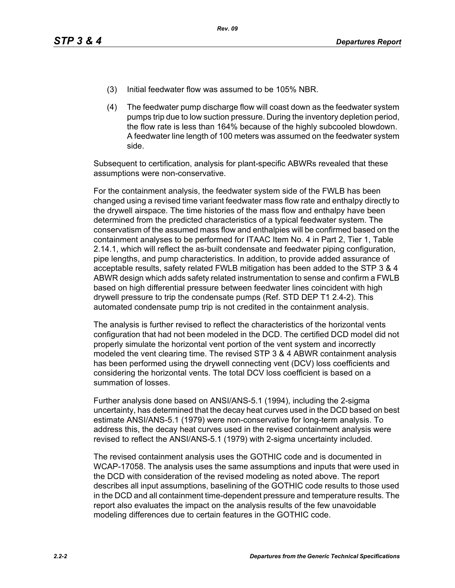- (3) Initial feedwater flow was assumed to be 105% NBR.
- (4) The feedwater pump discharge flow will coast down as the feedwater system pumps trip due to low suction pressure. During the inventory depletion period, the flow rate is less than 164% because of the highly subcooled blowdown. A feedwater line length of 100 meters was assumed on the feedwater system side.

Subsequent to certification, analysis for plant-specific ABWRs revealed that these assumptions were non-conservative.

For the containment analysis, the feedwater system side of the FWLB has been changed using a revised time variant feedwater mass flow rate and enthalpy directly to the drywell airspace. The time histories of the mass flow and enthalpy have been determined from the predicted characteristics of a typical feedwater system. The conservatism of the assumed mass flow and enthalpies will be confirmed based on the containment analyses to be performed for ITAAC Item No. 4 in Part 2, Tier 1, Table 2.14.1, which will reflect the as-built condensate and feedwater piping configuration, pipe lengths, and pump characteristics. In addition, to provide added assurance of acceptable results, safety related FWLB mitigation has been added to the STP 3 & 4 ABWR design which adds safety related instrumentation to sense and confirm a FWLB based on high differential pressure between feedwater lines coincident with high drywell pressure to trip the condensate pumps (Ref. STD DEP T1 2.4-2). This automated condensate pump trip is not credited in the containment analysis.

The analysis is further revised to reflect the characteristics of the horizontal vents configuration that had not been modeled in the DCD. The certified DCD model did not properly simulate the horizontal vent portion of the vent system and incorrectly modeled the vent clearing time. The revised STP 3 & 4 ABWR containment analysis has been performed using the drywell connecting vent (DCV) loss coefficients and considering the horizontal vents. The total DCV loss coefficient is based on a summation of losses.

Further analysis done based on ANSI/ANS-5.1 (1994), including the 2-sigma uncertainty, has determined that the decay heat curves used in the DCD based on best estimate ANSI/ANS-5.1 (1979) were non-conservative for long-term analysis. To address this, the decay heat curves used in the revised containment analysis were revised to reflect the ANSI/ANS-5.1 (1979) with 2-sigma uncertainty included.

The revised containment analysis uses the GOTHIC code and is documented in WCAP-17058. The analysis uses the same assumptions and inputs that were used in the DCD with consideration of the revised modeling as noted above. The report describes all input assumptions, baselining of the GOTHIC code results to those used in the DCD and all containment time-dependent pressure and temperature results. The report also evaluates the impact on the analysis results of the few unavoidable modeling differences due to certain features in the GOTHIC code.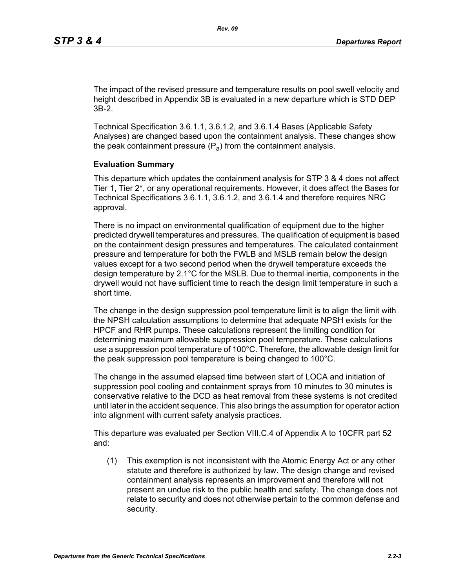The impact of the revised pressure and temperature results on pool swell velocity and height described in Appendix 3B is evaluated in a new departure which is STD DEP 3B-2.

Technical Specification 3.6.1.1, 3.6.1.2, and 3.6.1.4 Bases (Applicable Safety Analyses) are changed based upon the containment analysis. These changes show the peak containment pressure  $(P_a)$  from the containment analysis.

#### **Evaluation Summary**

This departure which updates the containment analysis for STP 3 & 4 does not affect Tier 1, Tier 2\*, or any operational requirements. However, it does affect the Bases for Technical Specifications 3.6.1.1, 3.6.1.2, and 3.6.1.4 and therefore requires NRC approval.

There is no impact on environmental qualification of equipment due to the higher predicted drywell temperatures and pressures. The qualification of equipment is based on the containment design pressures and temperatures. The calculated containment pressure and temperature for both the FWLB and MSLB remain below the design values except for a two second period when the drywell temperature exceeds the design temperature by 2.1°C for the MSLB. Due to thermal inertia, components in the drywell would not have sufficient time to reach the design limit temperature in such a short time.

The change in the design suppression pool temperature limit is to align the limit with the NPSH calculation assumptions to determine that adequate NPSH exists for the HPCF and RHR pumps. These calculations represent the limiting condition for determining maximum allowable suppression pool temperature. These calculations use a suppression pool temperature of 100°C. Therefore, the allowable design limit for the peak suppression pool temperature is being changed to 100°C.

The change in the assumed elapsed time between start of LOCA and initiation of suppression pool cooling and containment sprays from 10 minutes to 30 minutes is conservative relative to the DCD as heat removal from these systems is not credited until later in the accident sequence. This also brings the assumption for operator action into alignment with current safety analysis practices.

This departure was evaluated per Section VIII.C.4 of Appendix A to 10CFR part 52 and:

(1) This exemption is not inconsistent with the Atomic Energy Act or any other statute and therefore is authorized by law. The design change and revised containment analysis represents an improvement and therefore will not present an undue risk to the public health and safety. The change does not relate to security and does not otherwise pertain to the common defense and security.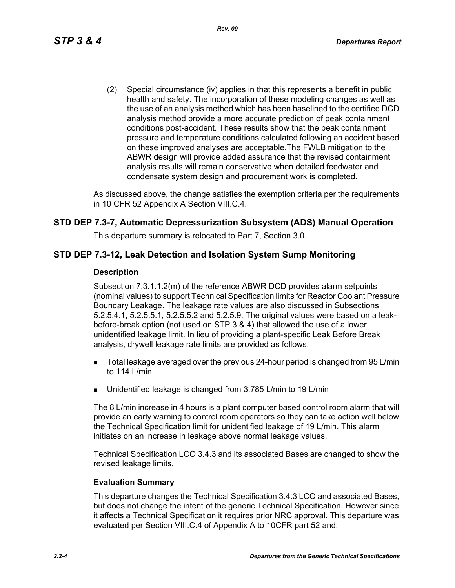(2) Special circumstance (iv) applies in that this represents a benefit in public health and safety. The incorporation of these modeling changes as well as the use of an analysis method which has been baselined to the certified DCD analysis method provide a more accurate prediction of peak containment conditions post-accident. These results show that the peak containment pressure and temperature conditions calculated following an accident based on these improved analyses are acceptable.The FWLB mitigation to the ABWR design will provide added assurance that the revised containment analysis results will remain conservative when detailed feedwater and condensate system design and procurement work is completed.

As discussed above, the change satisfies the exemption criteria per the requirements in 10 CFR 52 Appendix A Section VIII.C.4.

# **STD DEP 7.3-7, Automatic Depressurization Subsystem (ADS) Manual Operation**

This departure summary is relocated to Part 7, Section 3.0.

## **STD DEP 7.3-12, Leak Detection and Isolation System Sump Monitoring**

#### **Description**

Subsection 7.3.1.1.2(m) of the reference ABWR DCD provides alarm setpoints (nominal values) to support Technical Specification limits for Reactor Coolant Pressure Boundary Leakage. The leakage rate values are also discussed in Subsections 5.2.5.4.1, 5.2.5.5.1, 5.2.5.5.2 and 5.2.5.9. The original values were based on a leakbefore-break option (not used on STP 3 & 4) that allowed the use of a lower unidentified leakage limit. In lieu of providing a plant-specific Leak Before Break analysis, drywell leakage rate limits are provided as follows:

- **Total leakage averaged over the previous 24-hour period is changed from 95 L/min** to 114 L/min
- Unidentified leakage is changed from 3.785 L/min to 19 L/min

The 8 L/min increase in 4 hours is a plant computer based control room alarm that will provide an early warning to control room operators so they can take action well below the Technical Specification limit for unidentified leakage of 19 L/min. This alarm initiates on an increase in leakage above normal leakage values.

Technical Specification LCO 3.4.3 and its associated Bases are changed to show the revised leakage limits.

#### **Evaluation Summary**

This departure changes the Technical Specification 3.4.3 LCO and associated Bases, but does not change the intent of the generic Technical Specification. However since it affects a Technical Specification it requires prior NRC approval. This departure was evaluated per Section VIII.C.4 of Appendix A to 10CFR part 52 and: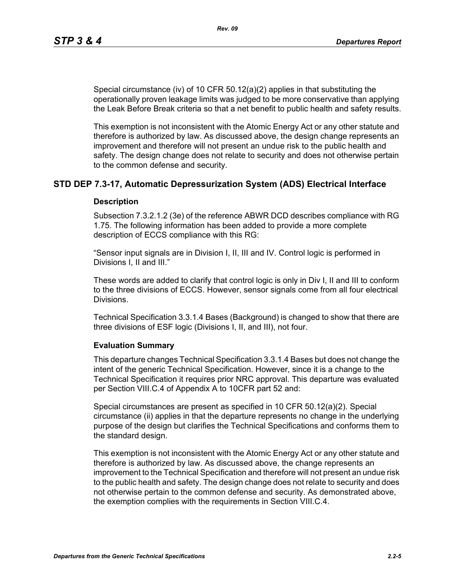Special circumstance (iv) of 10 CFR 50.12(a)(2) applies in that substituting the operationally proven leakage limits was judged to be more conservative than applying the Leak Before Break criteria so that a net benefit to public health and safety results.

This exemption is not inconsistent with the Atomic Energy Act or any other statute and therefore is authorized by law. As discussed above, the design change represents an improvement and therefore will not present an undue risk to the public health and safety. The design change does not relate to security and does not otherwise pertain to the common defense and security.

## **STD DEP 7.3-17, Automatic Depressurization System (ADS) Electrical Interface**

#### **Description**

Subsection 7.3.2.1.2 (3e) of the reference ABWR DCD describes compliance with RG 1.75. The following information has been added to provide a more complete description of ECCS compliance with this RG:

"Sensor input signals are in Division I, II, III and IV. Control logic is performed in Divisions I, II and III."

These words are added to clarify that control logic is only in Div I, II and III to conform to the three divisions of ECCS. However, sensor signals come from all four electrical Divisions.

Technical Specification 3.3.1.4 Bases (Background) is changed to show that there are three divisions of ESF logic (Divisions I, II, and III), not four.

#### **Evaluation Summary**

This departure changes Technical Specification 3.3.1.4 Bases but does not change the intent of the generic Technical Specification. However, since it is a change to the Technical Specification it requires prior NRC approval. This departure was evaluated per Section VIII.C.4 of Appendix A to 10CFR part 52 and:

Special circumstances are present as specified in 10 CFR 50.12(a)(2). Special circumstance (ii) applies in that the departure represents no change in the underlying purpose of the design but clarifies the Technical Specifications and conforms them to the standard design.

This exemption is not inconsistent with the Atomic Energy Act or any other statute and therefore is authorized by law. As discussed above, the change represents an improvement to the Technical Specification and therefore will not present an undue risk to the public health and safety. The design change does not relate to security and does not otherwise pertain to the common defense and security. As demonstrated above, the exemption complies with the requirements in Section VIII.C.4.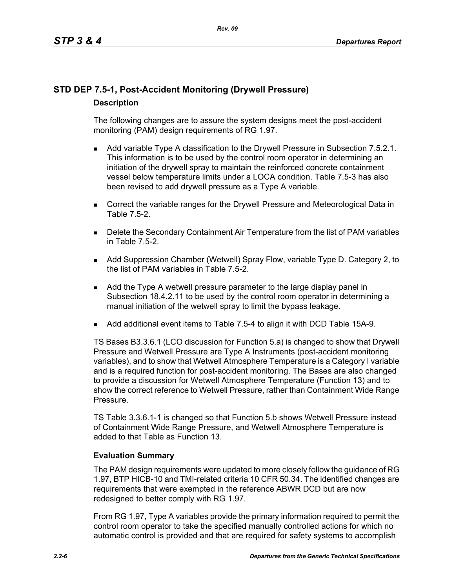# **STD DEP 7.5-1, Post-Accident Monitoring (Drywell Pressure) Description**

The following changes are to assure the system designs meet the post-accident monitoring (PAM) design requirements of RG 1.97.

- **Add variable Type A classification to the Drywell Pressure in Subsection 7.5.2.1.** This information is to be used by the control room operator in determining an initiation of the drywell spray to maintain the reinforced concrete containment vessel below temperature limits under a LOCA condition. Table 7.5-3 has also been revised to add drywell pressure as a Type A variable.
- **Correct the variable ranges for the Drywell Pressure and Meteorological Data in** Table 7.5-2.
- **Delete the Secondary Containment Air Temperature from the list of PAM variables** in Table 7.5-2.
- Add Suppression Chamber (Wetwell) Spray Flow, variable Type D. Category 2, to the list of PAM variables in Table 7.5-2.
- Add the Type A wetwell pressure parameter to the large display panel in Subsection 18.4.2.11 to be used by the control room operator in determining a manual initiation of the wetwell spray to limit the bypass leakage.
- Add additional event items to Table 7.5-4 to align it with DCD Table 15A-9.

TS Bases B3.3.6.1 (LCO discussion for Function 5.a) is changed to show that Drywell Pressure and Wetwell Pressure are Type A Instruments (post-accident monitoring variables), and to show that Wetwell Atmosphere Temperature is a Category I variable and is a required function for post-accident monitoring. The Bases are also changed to provide a discussion for Wetwell Atmosphere Temperature (Function 13) and to show the correct reference to Wetwell Pressure, rather than Containment Wide Range Pressure.

TS Table 3.3.6.1-1 is changed so that Function 5.b shows Wetwell Pressure instead of Containment Wide Range Pressure, and Wetwell Atmosphere Temperature is added to that Table as Function 13.

## **Evaluation Summary**

The PAM design requirements were updated to more closely follow the guidance of RG 1.97, BTP HICB-10 and TMI-related criteria 10 CFR 50.34. The identified changes are requirements that were exempted in the reference ABWR DCD but are now redesigned to better comply with RG 1.97.

From RG 1.97, Type A variables provide the primary information required to permit the control room operator to take the specified manually controlled actions for which no automatic control is provided and that are required for safety systems to accomplish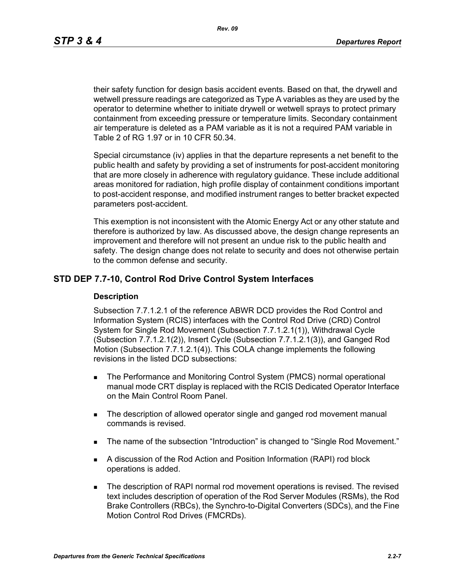*Rev. 09*

their safety function for design basis accident events. Based on that, the drywell and wetwell pressure readings are categorized as Type A variables as they are used by the operator to determine whether to initiate drywell or wetwell sprays to protect primary containment from exceeding pressure or temperature limits. Secondary containment air temperature is deleted as a PAM variable as it is not a required PAM variable in Table 2 of RG 1.97 or in 10 CFR 50.34.

Special circumstance (iv) applies in that the departure represents a net benefit to the public health and safety by providing a set of instruments for post-accident monitoring that are more closely in adherence with regulatory guidance. These include additional areas monitored for radiation, high profile display of containment conditions important to post-accident response, and modified instrument ranges to better bracket expected parameters post-accident.

This exemption is not inconsistent with the Atomic Energy Act or any other statute and therefore is authorized by law. As discussed above, the design change represents an improvement and therefore will not present an undue risk to the public health and safety. The design change does not relate to security and does not otherwise pertain to the common defense and security.

## **STD DEP 7.7-10, Control Rod Drive Control System Interfaces**

#### **Description**

Subsection 7.7.1.2.1 of the reference ABWR DCD provides the Rod Control and Information System (RCIS) interfaces with the Control Rod Drive (CRD) Control System for Single Rod Movement (Subsection 7.7.1.2.1(1)), Withdrawal Cycle (Subsection 7.7.1.2.1(2)), Insert Cycle (Subsection 7.7.1.2.1(3)), and Ganged Rod Motion (Subsection 7.7.1.2.1(4)). This COLA change implements the following revisions in the listed DCD subsections:

- **The Performance and Monitoring Control System (PMCS) normal operational** manual mode CRT display is replaced with the RCIS Dedicated Operator Interface on the Main Control Room Panel.
- The description of allowed operator single and ganged rod movement manual commands is revised.
- The name of the subsection "Introduction" is changed to "Single Rod Movement."
- A discussion of the Rod Action and Position Information (RAPI) rod block operations is added.
- **The description of RAPI normal rod movement operations is revised. The revised** text includes description of operation of the Rod Server Modules (RSMs), the Rod Brake Controllers (RBCs), the Synchro-to-Digital Converters (SDCs), and the Fine Motion Control Rod Drives (FMCRDs).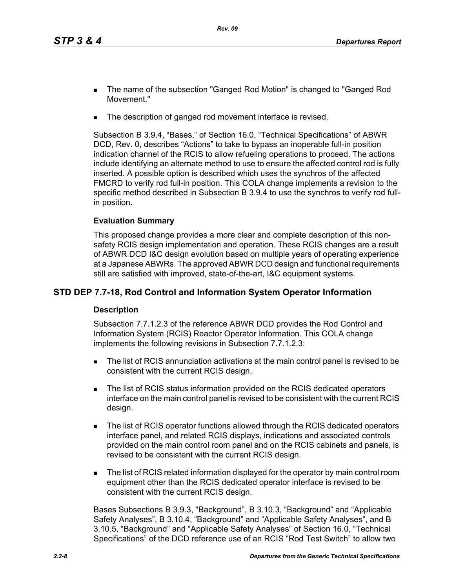- The name of the subsection "Ganged Rod Motion" is changed to "Ganged Rod Movement."
- The description of ganged rod movement interface is revised.

Subsection B 3.9.4, "Bases," of Section 16.0, "Technical Specifications" of ABWR DCD, Rev. 0, describes "Actions" to take to bypass an inoperable full-in position indication channel of the RCIS to allow refueling operations to proceed. The actions include identifying an alternate method to use to ensure the affected control rod is fully inserted. A possible option is described which uses the synchros of the affected FMCRD to verify rod full-in position. This COLA change implements a revision to the specific method described in Subsection B 3.9.4 to use the synchros to verify rod fullin position.

## **Evaluation Summary**

This proposed change provides a more clear and complete description of this nonsafety RCIS design implementation and operation. These RCIS changes are a result of ABWR DCD I&C design evolution based on multiple years of operating experience at a Japanese ABWRs. The approved ABWR DCD design and functional requirements still are satisfied with improved, state-of-the-art, I&C equipment systems.

# **STD DEP 7.7-18, Rod Control and Information System Operator Information**

## **Description**

Subsection 7.7.1.2.3 of the reference ABWR DCD provides the Rod Control and Information System (RCIS) Reactor Operator Information. This COLA change implements the following revisions in Subsection 7.7.1.2.3:

- The list of RCIS annunciation activations at the main control panel is revised to be consistent with the current RCIS design.
- The list of RCIS status information provided on the RCIS dedicated operators interface on the main control panel is revised to be consistent with the current RCIS design.
- The list of RCIS operator functions allowed through the RCIS dedicated operators interface panel, and related RCIS displays, indications and associated controls provided on the main control room panel and on the RCIS cabinets and panels, is revised to be consistent with the current RCIS design.
- **The list of RCIS related information displayed for the operator by main control room** equipment other than the RCIS dedicated operator interface is revised to be consistent with the current RCIS design.

Bases Subsections B 3.9.3, "Background", B 3.10.3, "Background" and "Applicable Safety Analyses", B 3.10.4, "Background" and "Applicable Safety Analyses", and B 3.10.5, "Background" and "Applicable Safety Analyses" of Section 16.0, "Technical Specifications" of the DCD reference use of an RCIS "Rod Test Switch" to allow two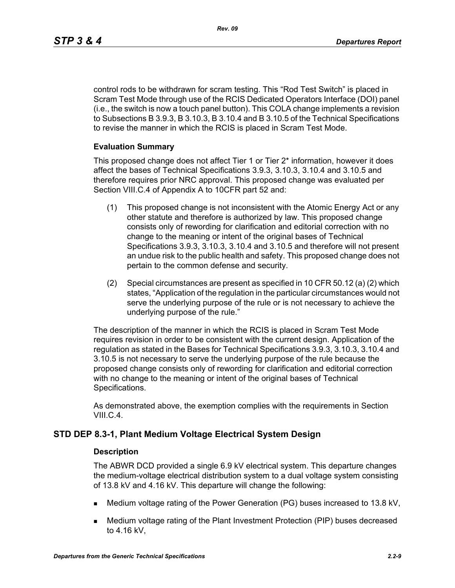*Rev. 09*

control rods to be withdrawn for scram testing. This "Rod Test Switch" is placed in Scram Test Mode through use of the RCIS Dedicated Operators Interface (DOI) panel (i.e., the switch is now a touch panel button). This COLA change implements a revision to Subsections B 3.9.3, B 3.10.3, B 3.10.4 and B 3.10.5 of the Technical Specifications to revise the manner in which the RCIS is placed in Scram Test Mode.

## **Evaluation Summary**

This proposed change does not affect Tier 1 or Tier 2\* information, however it does affect the bases of Technical Specifications 3.9.3, 3.10.3, 3.10.4 and 3.10.5 and therefore requires prior NRC approval. This proposed change was evaluated per Section VIII.C.4 of Appendix A to 10CFR part 52 and:

- (1) This proposed change is not inconsistent with the Atomic Energy Act or any other statute and therefore is authorized by law. This proposed change consists only of rewording for clarification and editorial correction with no change to the meaning or intent of the original bases of Technical Specifications 3.9.3, 3.10.3, 3.10.4 and 3.10.5 and therefore will not present an undue risk to the public health and safety. This proposed change does not pertain to the common defense and security.
- (2) Special circumstances are present as specified in 10 CFR 50.12 (a) (2) which states, "Application of the regulation in the particular circumstances would not serve the underlying purpose of the rule or is not necessary to achieve the underlying purpose of the rule."

The description of the manner in which the RCIS is placed in Scram Test Mode requires revision in order to be consistent with the current design. Application of the regulation as stated in the Bases for Technical Specifications 3.9.3, 3.10.3, 3.10.4 and 3.10.5 is not necessary to serve the underlying purpose of the rule because the proposed change consists only of rewording for clarification and editorial correction with no change to the meaning or intent of the original bases of Technical Specifications.

As demonstrated above, the exemption complies with the requirements in Section VIII.C.4.

# **STD DEP 8.3-1, Plant Medium Voltage Electrical System Design**

## **Description**

The ABWR DCD provided a single 6.9 kV electrical system. This departure changes the medium-voltage electrical distribution system to a dual voltage system consisting of 13.8 kV and 4.16 kV. This departure will change the following:

- Medium voltage rating of the Power Generation (PG) buses increased to 13.8 kV,
- Medium voltage rating of the Plant Investment Protection (PIP) buses decreased to 4.16 kV,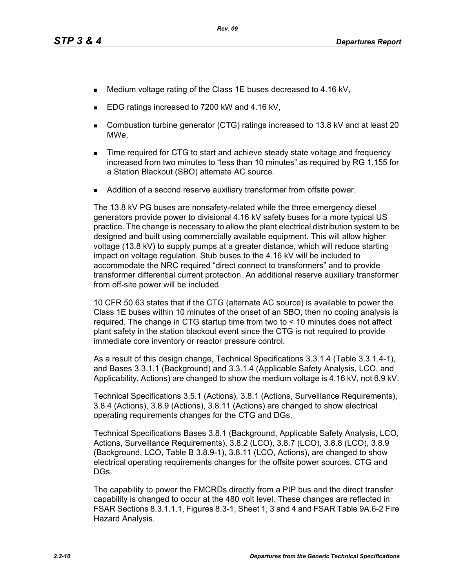- Medium voltage rating of the Class 1E buses decreased to 4.16 kV,
- EDG ratings increased to 7200 kW and 4.16 kV,
- Combustion turbine generator (CTG) ratings increased to 13.8 kV and at least 20 MWe,
- **Time required for CTG to start and achieve steady state voltage and frequency** increased from two minutes to "less than 10 minutes" as required by RG 1.155 for a Station Blackout (SBO) alternate AC source.
- **Addition of a second reserve auxiliary transformer from offsite power.**

The 13.8 kV PG buses are nonsafety-related while the three emergency diesel generators provide power to divisional 4.16 kV safety buses for a more typical US practice. The change is necessary to allow the plant electrical distribution system to be designed and built using commercially available equipment. This will allow higher voltage (13.8 kV) to supply pumps at a greater distance, which will reduce starting impact on voltage regulation. Stub buses to the 4.16 kV will be included to accommodate the NRC required "direct connect to transformers" and to provide transformer differential current protection. An additional reserve auxiliary transformer from off-site power will be included.

10 CFR 50.63 states that if the CTG (alternate AC source) is available to power the Class 1E buses within 10 minutes of the onset of an SBO, then no coping analysis is required. The change in CTG startup time from two to < 10 minutes does not affect plant safety in the station blackout event since the CTG is not required to provide immediate core inventory or reactor pressure control.

As a result of this design change, Technical Specifications 3.3.1.4 (Table 3.3.1.4-1), and Bases 3.3.1.1 (Background) and 3.3.1.4 (Applicable Safety Analysis, LCO, and Applicability, Actions) are changed to show the medium voltage is 4.16 kV, not 6.9 kV.

Technical Specifications 3.5.1 (Actions), 3.8.1 (Actions, Surveillance Requirements), 3.8.4 (Actions), 3.8.9 (Actions), 3.8.11 (Actions) are changed to show electrical operating requirements changes for the CTG and DGs.

Technical Specifications Bases 3.8.1 (Background, Applicable Safety Analysis, LCO, Actions, Surveillance Requirements), 3.8.2 (LCO), 3.8.7 (LCO), 3.8.8 (LCO), 3.8.9 (Background, LCO, Table B 3.8.9-1), 3.8.11 (LCO, Actions), are changed to show electrical operating requirements changes for the offsite power sources, CTG and DGs.

The capability to power the FMCRDs directly from a PIP bus and the direct transfer capability is changed to occur at the 480 volt level. These changes are reflected in FSAR Sections 8.3.1.1.1, Figures 8.3-1, Sheet 1, 3 and 4 and FSAR Table 9A.6-2 Fire Hazard Analysis.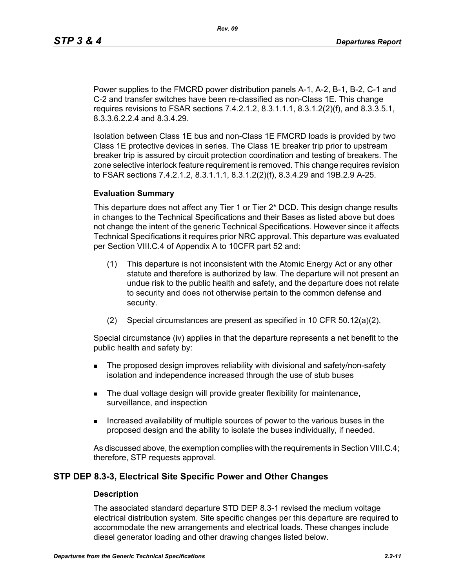Power supplies to the FMCRD power distribution panels A-1, A-2, B-1, B-2, C-1 and C-2 and transfer switches have been re-classified as non-Class 1E. This change requires revisions to FSAR sections 7.4.2.1.2, 8.3.1.1.1, 8.3.1.2(2)(f), and 8.3.3.5.1, 8.3.3.6.2.2.4 and 8.3.4.29.

Isolation between Class 1E bus and non-Class 1E FMCRD loads is provided by two Class 1E protective devices in series. The Class 1E breaker trip prior to upstream breaker trip is assured by circuit protection coordination and testing of breakers. The zone selective interlock feature requirement is removed. This change requires revision to FSAR sections 7.4.2.1.2, 8.3.1.1.1, 8.3.1.2(2)(f), 8.3.4.29 and 19B.2.9 A-25.

#### **Evaluation Summary**

This departure does not affect any Tier 1 or Tier 2\* DCD. This design change results in changes to the Technical Specifications and their Bases as listed above but does not change the intent of the generic Technical Specifications. However since it affects Technical Specifications it requires prior NRC approval. This departure was evaluated per Section VIII.C.4 of Appendix A to 10CFR part 52 and:

- (1) This departure is not inconsistent with the Atomic Energy Act or any other statute and therefore is authorized by law. The departure will not present an undue risk to the public health and safety, and the departure does not relate to security and does not otherwise pertain to the common defense and security.
- (2) Special circumstances are present as specified in 10 CFR 50.12(a)(2).

Special circumstance (iv) applies in that the departure represents a net benefit to the public health and safety by:

- **The proposed design improves reliability with divisional and safety/non-safety** isolation and independence increased through the use of stub buses
- The dual voltage design will provide greater flexibility for maintenance, surveillance, and inspection
- Increased availability of multiple sources of power to the various buses in the proposed design and the ability to isolate the buses individually, if needed.

As discussed above, the exemption complies with the requirements in Section VIII.C.4; therefore, STP requests approval.

## **STP DEP 8.3-3, Electrical Site Specific Power and Other Changes**

#### **Description**

The associated standard departure STD DEP 8.3-1 revised the medium voltage electrical distribution system. Site specific changes per this departure are required to accommodate the new arrangements and electrical loads. These changes include diesel generator loading and other drawing changes listed below.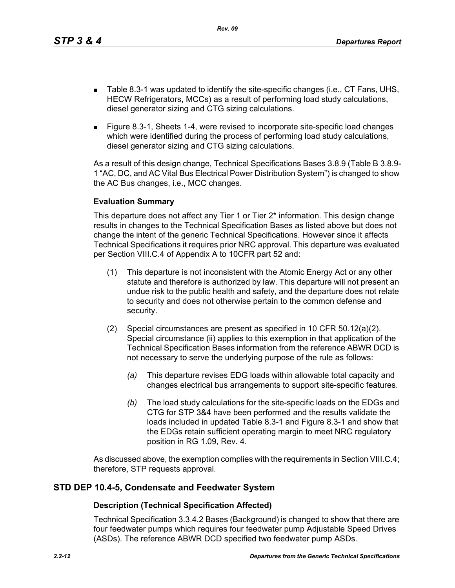*Rev. 09*

- Table 8.3-1 was updated to identify the site-specific changes (i.e., CT Fans, UHS, HECW Refrigerators, MCCs) as a result of performing load study calculations, diesel generator sizing and CTG sizing calculations.
- Figure 8.3-1, Sheets 1-4, were revised to incorporate site-specific load changes which were identified during the process of performing load study calculations, diesel generator sizing and CTG sizing calculations.

As a result of this design change, Technical Specifications Bases 3.8.9 (Table B 3.8.9- 1 "AC, DC, and AC Vital Bus Electrical Power Distribution System") is changed to show the AC Bus changes, i.e., MCC changes.

## **Evaluation Summary**

This departure does not affect any Tier 1 or Tier 2\* information. This design change results in changes to the Technical Specification Bases as listed above but does not change the intent of the generic Technical Specifications. However since it affects Technical Specifications it requires prior NRC approval. This departure was evaluated per Section VIII.C.4 of Appendix A to 10CFR part 52 and:

- (1) This departure is not inconsistent with the Atomic Energy Act or any other statute and therefore is authorized by law. This departure will not present an undue risk to the public health and safety, and the departure does not relate to security and does not otherwise pertain to the common defense and security.
- (2) Special circumstances are present as specified in 10 CFR 50.12(a)(2). Special circumstance (ii) applies to this exemption in that application of the Technical Specification Bases information from the reference ABWR DCD is not necessary to serve the underlying purpose of the rule as follows:
	- *(a)* This departure revises EDG loads within allowable total capacity and changes electrical bus arrangements to support site-specific features.
	- *(b)* The load study calculations for the site-specific loads on the EDGs and CTG for STP 3&4 have been performed and the results validate the loads included in updated Table 8.3-1 and Figure 8.3-1 and show that the EDGs retain sufficient operating margin to meet NRC regulatory position in RG 1.09, Rev. 4.

As discussed above, the exemption complies with the requirements in Section VIII.C.4; therefore, STP requests approval.

# **STD DEP 10.4-5, Condensate and Feedwater System**

## **Description (Technical Specification Affected)**

Technical Specification 3.3.4.2 Bases (Background) is changed to show that there are four feedwater pumps which requires four feedwater pump Adjustable Speed Drives (ASDs). The reference ABWR DCD specified two feedwater pump ASDs.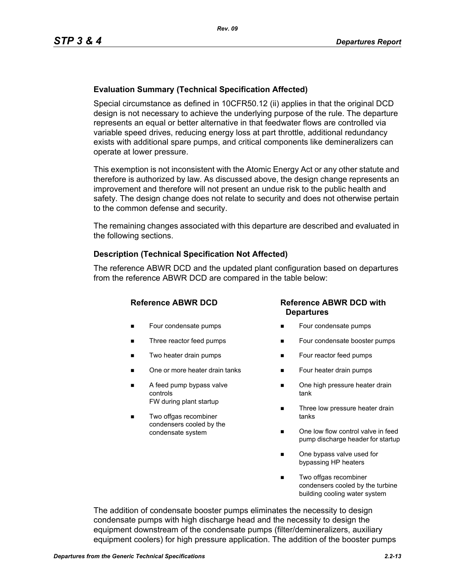## **Evaluation Summary (Technical Specification Affected)**

Special circumstance as defined in 10CFR50.12 (ii) applies in that the original DCD design is not necessary to achieve the underlying purpose of the rule. The departure represents an equal or better alternative in that feedwater flows are controlled via variable speed drives, reducing energy loss at part throttle, additional redundancy exists with additional spare pumps, and critical components like demineralizers can operate at lower pressure.

This exemption is not inconsistent with the Atomic Energy Act or any other statute and therefore is authorized by law. As discussed above, the design change represents an improvement and therefore will not present an undue risk to the public health and safety. The design change does not relate to security and does not otherwise pertain to the common defense and security.

The remaining changes associated with this departure are described and evaluated in the following sections.

## **Description (Technical Specification Not Affected)**

The reference ABWR DCD and the updated plant configuration based on departures from the reference ABWR DCD are compared in the table below:

- **Four condensate pumps**
- Three reactor feed pumps
- Two heater drain pumps
- One or more heater drain tanks
- A feed pump bypass valve controls FW during plant startup
- Two offgas recombiner condensers cooled by the condensate system

## **Reference ABWR DCD Reference ABWR DCD with Departures**

- Four condensate pumps
- Four condensate booster pumps
- **Four reactor feed pumps**
- Four heater drain pumps
- One high pressure heater drain tank
- Three low pressure heater drain tanks
- One low flow control valve in feed pump discharge header for startup
- One bypass valve used for bypassing HP heaters
- Two offgas recombiner condensers cooled by the turbine building cooling water system

The addition of condensate booster pumps eliminates the necessity to design condensate pumps with high discharge head and the necessity to design the equipment downstream of the condensate pumps (filter/demineralizers, auxiliary equipment coolers) for high pressure application. The addition of the booster pumps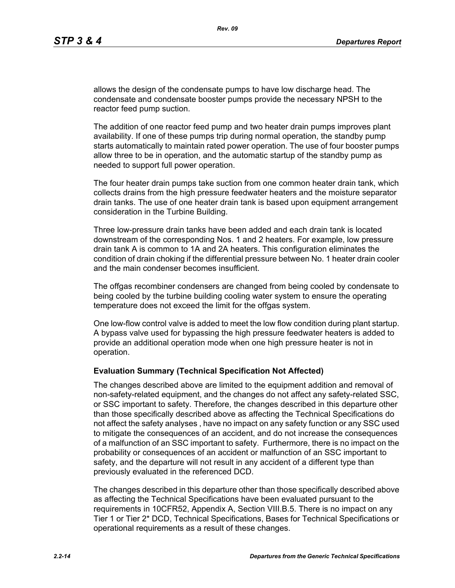allows the design of the condensate pumps to have low discharge head. The condensate and condensate booster pumps provide the necessary NPSH to the reactor feed pump suction.

The addition of one reactor feed pump and two heater drain pumps improves plant availability. If one of these pumps trip during normal operation, the standby pump starts automatically to maintain rated power operation. The use of four booster pumps allow three to be in operation, and the automatic startup of the standby pump as needed to support full power operation.

The four heater drain pumps take suction from one common heater drain tank, which collects drains from the high pressure feedwater heaters and the moisture separator drain tanks. The use of one heater drain tank is based upon equipment arrangement consideration in the Turbine Building.

Three low-pressure drain tanks have been added and each drain tank is located downstream of the corresponding Nos. 1 and 2 heaters. For example, low pressure drain tank A is common to 1A and 2A heaters. This configuration eliminates the condition of drain choking if the differential pressure between No. 1 heater drain cooler and the main condenser becomes insufficient.

The offgas recombiner condensers are changed from being cooled by condensate to being cooled by the turbine building cooling water system to ensure the operating temperature does not exceed the limit for the offgas system.

One low-flow control valve is added to meet the low flow condition during plant startup. A bypass valve used for bypassing the high pressure feedwater heaters is added to provide an additional operation mode when one high pressure heater is not in operation.

#### **Evaluation Summary (Technical Specification Not Affected)**

The changes described above are limited to the equipment addition and removal of non-safety-related equipment, and the changes do not affect any safety-related SSC, or SSC important to safety. Therefore, the changes described in this departure other than those specifically described above as affecting the Technical Specifications do not affect the safety analyses , have no impact on any safety function or any SSC used to mitigate the consequences of an accident, and do not increase the consequences of a malfunction of an SSC important to safety. Furthermore, there is no impact on the probability or consequences of an accident or malfunction of an SSC important to safety, and the departure will not result in any accident of a different type than previously evaluated in the referenced DCD.

The changes described in this departure other than those specifically described above as affecting the Technical Specifications have been evaluated pursuant to the requirements in 10CFR52, Appendix A, Section VIII.B.5. There is no impact on any Tier 1 or Tier 2\* DCD, Technical Specifications, Bases for Technical Specifications or operational requirements as a result of these changes.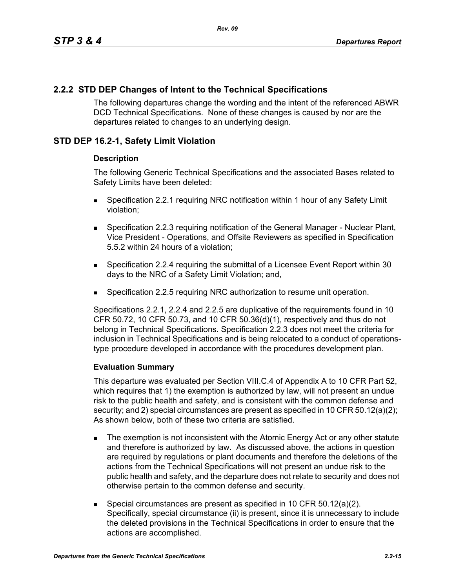# **2.2.2 STD DEP Changes of Intent to the Technical Specifications**

The following departures change the wording and the intent of the referenced ABWR DCD Technical Specifications. None of these changes is caused by nor are the departures related to changes to an underlying design.

# **STD DEP 16.2-1, Safety Limit Violation**

## **Description**

The following Generic Technical Specifications and the associated Bases related to Safety Limits have been deleted:

- Specification 2.2.1 requiring NRC notification within 1 hour of any Safety Limit violation;
- **Specification 2.2.3 requiring notification of the General Manager Nuclear Plant,** Vice President - Operations, and Offsite Reviewers as specified in Specification 5.5.2 within 24 hours of a violation;
- Specification 2.2.4 requiring the submittal of a Licensee Event Report within 30 days to the NRC of a Safety Limit Violation; and,
- Specification 2.2.5 requiring NRC authorization to resume unit operation.

Specifications 2.2.1, 2.2.4 and 2.2.5 are duplicative of the requirements found in 10 CFR 50.72, 10 CFR 50.73, and 10 CFR 50.36(d)(1), respectively and thus do not belong in Technical Specifications. Specification 2.2.3 does not meet the criteria for inclusion in Technical Specifications and is being relocated to a conduct of operationstype procedure developed in accordance with the procedures development plan.

## **Evaluation Summary**

This departure was evaluated per Section VIII.C.4 of Appendix A to 10 CFR Part 52, which requires that 1) the exemption is authorized by law, will not present an undue risk to the public health and safety, and is consistent with the common defense and security; and 2) special circumstances are present as specified in 10 CFR 50.12(a)(2); As shown below, both of these two criteria are satisfied.

- The exemption is not inconsistent with the Atomic Energy Act or any other statute and therefore is authorized by law. As discussed above, the actions in question are required by regulations or plant documents and therefore the deletions of the actions from the Technical Specifications will not present an undue risk to the public health and safety, and the departure does not relate to security and does not otherwise pertain to the common defense and security.
- Special circumstances are present as specified in 10 CFR 50.12(a)(2). Specifically, special circumstance (ii) is present, since it is unnecessary to include the deleted provisions in the Technical Specifications in order to ensure that the actions are accomplished.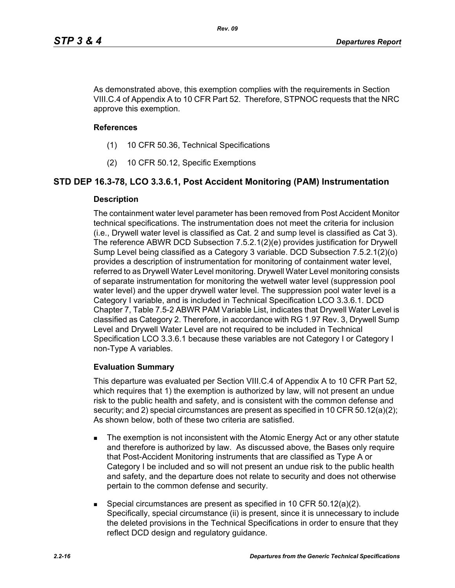As demonstrated above, this exemption complies with the requirements in Section VIII.C.4 of Appendix A to 10 CFR Part 52. Therefore, STPNOC requests that the NRC approve this exemption.

#### **References**

- (1) 10 CFR 50.36, Technical Specifications
- (2) 10 CFR 50.12, Specific Exemptions

## **STD DEP 16.3-78, LCO 3.3.6.1, Post Accident Monitoring (PAM) Instrumentation**

#### **Description**

The containment water level parameter has been removed from Post Accident Monitor technical specifications. The instrumentation does not meet the criteria for inclusion (i.e., Drywell water level is classified as Cat. 2 and sump level is classified as Cat 3). The reference ABWR DCD Subsection 7.5.2.1(2)(e) provides justification for Drywell Sump Level being classified as a Category 3 variable. DCD Subsection 7.5.2.1(2)(o) provides a description of instrumentation for monitoring of containment water level, referred to as Drywell Water Level monitoring. Drywell Water Level monitoring consists of separate instrumentation for monitoring the wetwell water level (suppression pool water level) and the upper drywell water level. The suppression pool water level is a Category I variable, and is included in Technical Specification LCO 3.3.6.1. DCD Chapter 7, Table 7.5-2 ABWR PAM Variable List, indicates that Drywell Water Level is classified as Category 2. Therefore, in accordance with RG 1.97 Rev. 3, Drywell Sump Level and Drywell Water Level are not required to be included in Technical Specification LCO 3.3.6.1 because these variables are not Category I or Category I non-Type A variables.

#### **Evaluation Summary**

This departure was evaluated per Section VIII.C.4 of Appendix A to 10 CFR Part 52, which requires that 1) the exemption is authorized by law, will not present an undue risk to the public health and safety, and is consistent with the common defense and security; and 2) special circumstances are present as specified in 10 CFR 50.12(a)(2); As shown below, both of these two criteria are satisfied.

- The exemption is not inconsistent with the Atomic Energy Act or any other statute and therefore is authorized by law. As discussed above, the Bases only require that Post-Accident Monitoring instruments that are classified as Type A or Category I be included and so will not present an undue risk to the public health and safety, and the departure does not relate to security and does not otherwise pertain to the common defense and security.
- Special circumstances are present as specified in 10 CFR 50.12(a)(2). Specifically, special circumstance (ii) is present, since it is unnecessary to include the deleted provisions in the Technical Specifications in order to ensure that they reflect DCD design and regulatory guidance.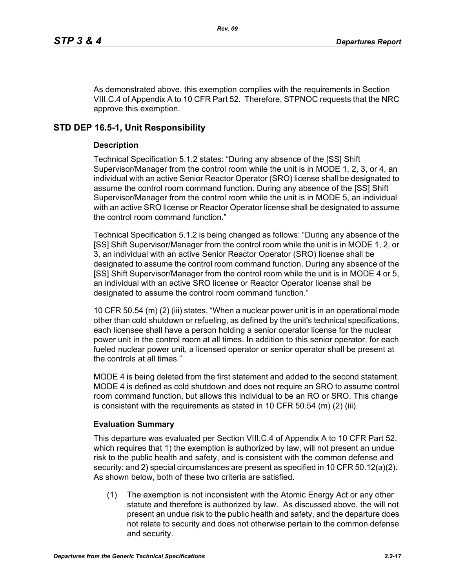As demonstrated above, this exemption complies with the requirements in Section VIII.C.4 of Appendix A to 10 CFR Part 52. Therefore, STPNOC requests that the NRC approve this exemption.

# **STD DEP 16.5-1, Unit Responsibility**

# **Description**

Technical Specification 5.1.2 states: "During any absence of the [SS] Shift Supervisor/Manager from the control room while the unit is in MODE 1, 2, 3, or 4, an individual with an active Senior Reactor Operator (SRO) license shall be designated to assume the control room command function. During any absence of the [SS] Shift Supervisor/Manager from the control room while the unit is in MODE 5, an individual with an active SRO license or Reactor Operator license shall be designated to assume the control room command function."

Technical Specification 5.1.2 is being changed as follows: "During any absence of the [SS] Shift Supervisor/Manager from the control room while the unit is in MODE 1, 2, or 3, an individual with an active Senior Reactor Operator (SRO) license shall be designated to assume the control room command function. During any absence of the [SS] Shift Supervisor/Manager from the control room while the unit is in MODE 4 or 5, an individual with an active SRO license or Reactor Operator license shall be designated to assume the control room command function."

10 CFR 50.54 (m) (2) (iii) states, "When a nuclear power unit is in an operational mode other than cold shutdown or refueling, as defined by the unit's technical specifications, each licensee shall have a person holding a senior operator license for the nuclear power unit in the control room at all times. In addition to this senior operator, for each fueled nuclear power unit, a licensed operator or senior operator shall be present at the controls at all times."

MODE 4 is being deleted from the first statement and added to the second statement. MODE 4 is defined as cold shutdown and does not require an SRO to assume control room command function, but allows this individual to be an RO or SRO. This change is consistent with the requirements as stated in 10 CFR 50.54  $(m)$  (2) (iii).

# **Evaluation Summary**

This departure was evaluated per Section VIII.C.4 of Appendix A to 10 CFR Part 52, which requires that 1) the exemption is authorized by law, will not present an undue risk to the public health and safety, and is consistent with the common defense and security; and 2) special circumstances are present as specified in 10 CFR 50.12(a)(2). As shown below, both of these two criteria are satisfied.

(1) The exemption is not inconsistent with the Atomic Energy Act or any other statute and therefore is authorized by law. As discussed above, the will not present an undue risk to the public health and safety, and the departure does not relate to security and does not otherwise pertain to the common defense and security.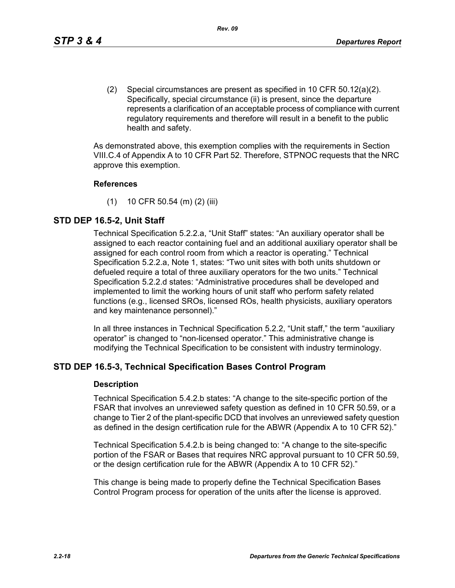(2) Special circumstances are present as specified in 10 CFR 50.12(a)(2). Specifically, special circumstance (ii) is present, since the departure represents a clarification of an acceptable process of compliance with current regulatory requirements and therefore will result in a benefit to the public health and safety.

As demonstrated above, this exemption complies with the requirements in Section VIII.C.4 of Appendix A to 10 CFR Part 52. Therefore, STPNOC requests that the NRC approve this exemption.

#### **References**

(1) 10 CFR 50.54 (m) (2) (iii)

# **STD DEP 16.5-2, Unit Staff**

Technical Specification 5.2.2.a, "Unit Staff" states: "An auxiliary operator shall be assigned to each reactor containing fuel and an additional auxiliary operator shall be assigned for each control room from which a reactor is operating." Technical Specification 5.2.2.a, Note 1, states: "Two unit sites with both units shutdown or defueled require a total of three auxiliary operators for the two units." Technical Specification 5.2.2.d states: "Administrative procedures shall be developed and implemented to limit the working hours of unit staff who perform safety related functions (e.g., licensed SROs, licensed ROs, health physicists, auxiliary operators and key maintenance personnel)."

In all three instances in Technical Specification 5.2.2, "Unit staff," the term "auxiliary operator" is changed to "non-licensed operator." This administrative change is modifying the Technical Specification to be consistent with industry terminology.

# **STD DEP 16.5-3, Technical Specification Bases Control Program**

#### **Description**

Technical Specification 5.4.2.b states: "A change to the site-specific portion of the FSAR that involves an unreviewed safety question as defined in 10 CFR 50.59, or a change to Tier 2 of the plant-specific DCD that involves an unreviewed safety question as defined in the design certification rule for the ABWR (Appendix A to 10 CFR 52)."

Technical Specification 5.4.2.b is being changed to: "A change to the site-specific portion of the FSAR or Bases that requires NRC approval pursuant to 10 CFR 50.59, or the design certification rule for the ABWR (Appendix A to 10 CFR 52)."

This change is being made to properly define the Technical Specification Bases Control Program process for operation of the units after the license is approved.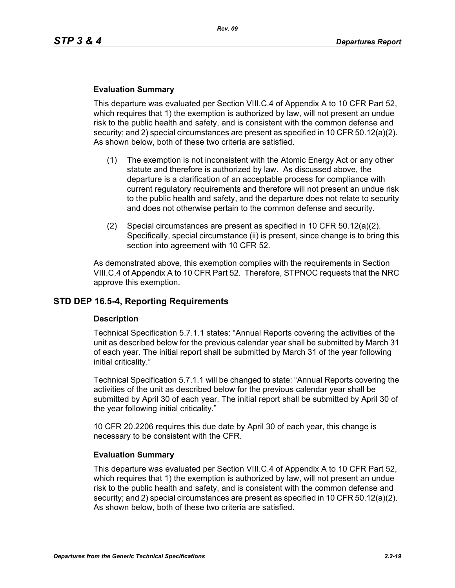#### **Evaluation Summary**

This departure was evaluated per Section VIII.C.4 of Appendix A to 10 CFR Part 52, which requires that 1) the exemption is authorized by law, will not present an undue risk to the public health and safety, and is consistent with the common defense and security; and 2) special circumstances are present as specified in 10 CFR 50.12(a)(2). As shown below, both of these two criteria are satisfied.

- (1) The exemption is not inconsistent with the Atomic Energy Act or any other statute and therefore is authorized by law. As discussed above, the departure is a clarification of an acceptable process for compliance with current regulatory requirements and therefore will not present an undue risk to the public health and safety, and the departure does not relate to security and does not otherwise pertain to the common defense and security.
- (2) Special circumstances are present as specified in 10 CFR 50.12(a)(2). Specifically, special circumstance (ii) is present, since change is to bring this section into agreement with 10 CFR 52.

As demonstrated above, this exemption complies with the requirements in Section VIII.C.4 of Appendix A to 10 CFR Part 52. Therefore, STPNOC requests that the NRC approve this exemption.

## **STD DEP 16.5-4, Reporting Requirements**

#### **Description**

Technical Specification 5.7.1.1 states: "Annual Reports covering the activities of the unit as described below for the previous calendar year shall be submitted by March 31 of each year. The initial report shall be submitted by March 31 of the year following initial criticality."

Technical Specification 5.7.1.1 will be changed to state: "Annual Reports covering the activities of the unit as described below for the previous calendar year shall be submitted by April 30 of each year. The initial report shall be submitted by April 30 of the year following initial criticality."

10 CFR 20.2206 requires this due date by April 30 of each year, this change is necessary to be consistent with the CFR.

#### **Evaluation Summary**

This departure was evaluated per Section VIII.C.4 of Appendix A to 10 CFR Part 52, which requires that 1) the exemption is authorized by law, will not present an undue risk to the public health and safety, and is consistent with the common defense and security; and 2) special circumstances are present as specified in 10 CFR 50.12(a)(2). As shown below, both of these two criteria are satisfied.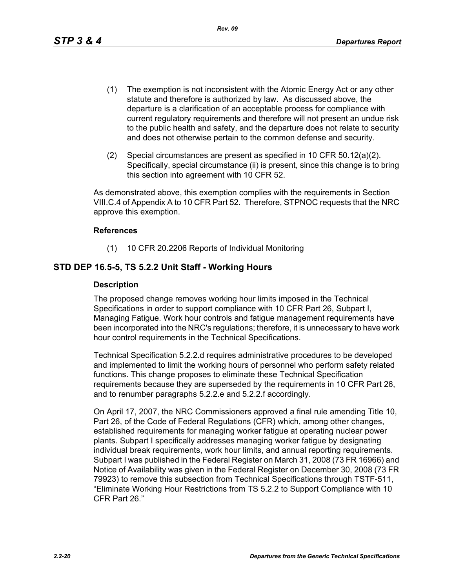- (1) The exemption is not inconsistent with the Atomic Energy Act or any other statute and therefore is authorized by law. As discussed above, the departure is a clarification of an acceptable process for compliance with current regulatory requirements and therefore will not present an undue risk to the public health and safety, and the departure does not relate to security and does not otherwise pertain to the common defense and security.
- (2) Special circumstances are present as specified in 10 CFR 50.12(a)(2). Specifically, special circumstance (ii) is present, since this change is to bring this section into agreement with 10 CFR 52.

As demonstrated above, this exemption complies with the requirements in Section VIII.C.4 of Appendix A to 10 CFR Part 52. Therefore, STPNOC requests that the NRC approve this exemption.

#### **References**

(1) 10 CFR 20.2206 Reports of Individual Monitoring

## **STD DEP 16.5-5, TS 5.2.2 Unit Staff - Working Hours**

#### **Description**

The proposed change removes working hour limits imposed in the Technical Specifications in order to support compliance with 10 CFR Part 26, Subpart I, Managing Fatigue. Work hour controls and fatigue management requirements have been incorporated into the NRC's regulations; therefore, it is unnecessary to have work hour control requirements in the Technical Specifications.

Technical Specification 5.2.2.d requires administrative procedures to be developed and implemented to limit the working hours of personnel who perform safety related functions. This change proposes to eliminate these Technical Specification requirements because they are superseded by the requirements in 10 CFR Part 26, and to renumber paragraphs 5.2.2.e and 5.2.2.f accordingly.

On April 17, 2007, the NRC Commissioners approved a final rule amending Title 10, Part 26, of the Code of Federal Regulations (CFR) which, among other changes, established requirements for managing worker fatigue at operating nuclear power plants. Subpart I specifically addresses managing worker fatigue by designating individual break requirements, work hour limits, and annual reporting requirements. Subpart I was published in the Federal Register on March 31, 2008 (73 FR 16966) and Notice of Availability was given in the Federal Register on December 30, 2008 (73 FR 79923) to remove this subsection from Technical Specifications through TSTF-511, "Eliminate Working Hour Restrictions from TS 5.2.2 to Support Compliance with 10 CFR Part 26."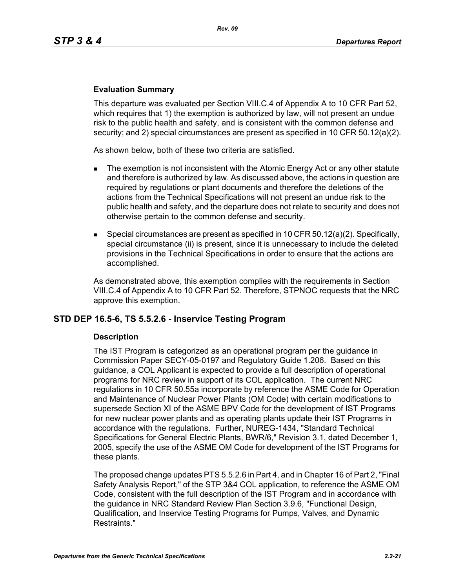## **Evaluation Summary**

This departure was evaluated per Section VIII.C.4 of Appendix A to 10 CFR Part 52, which requires that 1) the exemption is authorized by law, will not present an undue risk to the public health and safety, and is consistent with the common defense and security; and 2) special circumstances are present as specified in 10 CFR 50.12(a)(2).

As shown below, both of these two criteria are satisfied.

- The exemption is not inconsistent with the Atomic Energy Act or any other statute and therefore is authorized by law. As discussed above, the actions in question are required by regulations or plant documents and therefore the deletions of the actions from the Technical Specifications will not present an undue risk to the public health and safety, and the departure does not relate to security and does not otherwise pertain to the common defense and security.
- **Special circumstances are present as specified in 10 CFR 50.12(a)(2). Specifically,** special circumstance (ii) is present, since it is unnecessary to include the deleted provisions in the Technical Specifications in order to ensure that the actions are accomplished.

As demonstrated above, this exemption complies with the requirements in Section VIII.C.4 of Appendix A to 10 CFR Part 52. Therefore, STPNOC requests that the NRC approve this exemption.

## **STD DEP 16.5-6, TS 5.5.2.6 - Inservice Testing Program**

#### **Description**

The IST Program is categorized as an operational program per the guidance in Commission Paper SECY-05-0197 and Regulatory Guide 1.206. Based on this guidance, a COL Applicant is expected to provide a full description of operational programs for NRC review in support of its COL application. The current NRC regulations in 10 CFR 50.55a incorporate by reference the ASME Code for Operation and Maintenance of Nuclear Power Plants (OM Code) with certain modifications to supersede Section XI of the ASME BPV Code for the development of IST Programs for new nuclear power plants and as operating plants update their IST Programs in accordance with the regulations. Further, NUREG-1434, "Standard Technical Specifications for General Electric Plants, BWR/6," Revision 3.1, dated December 1, 2005, specify the use of the ASME OM Code for development of the IST Programs for these plants.

The proposed change updates PTS 5.5.2.6 in Part 4, and in Chapter 16 of Part 2, "Final Safety Analysis Report," of the STP 3&4 COL application, to reference the ASME OM Code, consistent with the full description of the IST Program and in accordance with the guidance in NRC Standard Review Plan Section 3.9.6, "Functional Design, Qualification, and Inservice Testing Programs for Pumps, Valves, and Dynamic Restraints."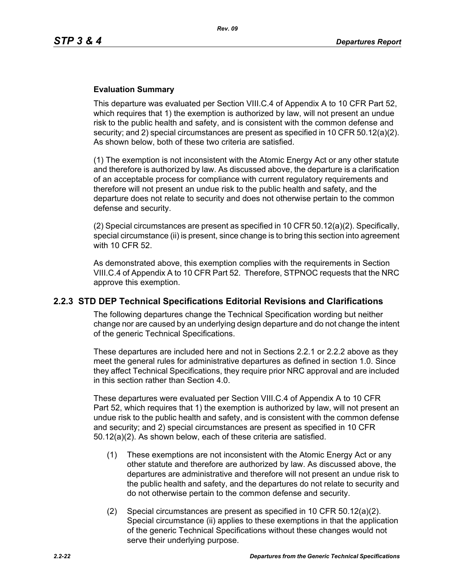## **Evaluation Summary**

This departure was evaluated per Section VIII.C.4 of Appendix A to 10 CFR Part 52, which requires that 1) the exemption is authorized by law, will not present an undue risk to the public health and safety, and is consistent with the common defense and security; and 2) special circumstances are present as specified in 10 CFR 50.12(a)(2). As shown below, both of these two criteria are satisfied.

(1) The exemption is not inconsistent with the Atomic Energy Act or any other statute and therefore is authorized by law. As discussed above, the departure is a clarification of an acceptable process for compliance with current regulatory requirements and therefore will not present an undue risk to the public health and safety, and the departure does not relate to security and does not otherwise pertain to the common defense and security.

 $(2)$  Special circumstances are present as specified in 10 CFR 50.12(a)(2). Specifically, special circumstance (ii) is present, since change is to bring this section into agreement with 10 CFR 52.

As demonstrated above, this exemption complies with the requirements in Section VIII.C.4 of Appendix A to 10 CFR Part 52. Therefore, STPNOC requests that the NRC approve this exemption.

## **2.2.3 STD DEP Technical Specifications Editorial Revisions and Clarifications**

The following departures change the Technical Specification wording but neither change nor are caused by an underlying design departure and do not change the intent of the generic Technical Specifications.

These departures are included here and not in Sections 2.2.1 or 2.2.2 above as they meet the general rules for administrative departures as defined in section 1.0. Since they affect Technical Specifications, they require prior NRC approval and are included in this section rather than Section 4.0.

These departures were evaluated per Section VIII.C.4 of Appendix A to 10 CFR Part 52, which requires that 1) the exemption is authorized by law, will not present an undue risk to the public health and safety, and is consistent with the common defense and security; and 2) special circumstances are present as specified in 10 CFR 50.12(a)(2). As shown below, each of these criteria are satisfied.

- (1) These exemptions are not inconsistent with the Atomic Energy Act or any other statute and therefore are authorized by law. As discussed above, the departures are administrative and therefore will not present an undue risk to the public health and safety, and the departures do not relate to security and do not otherwise pertain to the common defense and security.
- (2) Special circumstances are present as specified in 10 CFR 50.12(a)(2). Special circumstance (ii) applies to these exemptions in that the application of the generic Technical Specifications without these changes would not serve their underlying purpose.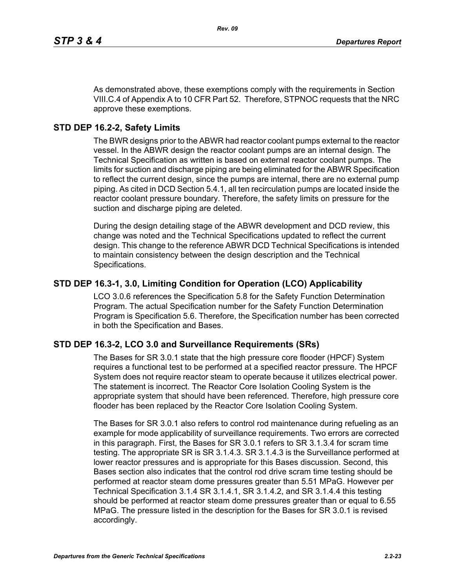As demonstrated above, these exemptions comply with the requirements in Section VIII.C.4 of Appendix A to 10 CFR Part 52. Therefore, STPNOC requests that the NRC approve these exemptions.

## **STD DEP 16.2-2, Safety Limits**

The BWR designs prior to the ABWR had reactor coolant pumps external to the reactor vessel. In the ABWR design the reactor coolant pumps are an internal design. The Technical Specification as written is based on external reactor coolant pumps. The limits for suction and discharge piping are being eliminated for the ABWR Specification to reflect the current design, since the pumps are internal, there are no external pump piping. As cited in DCD Section 5.4.1, all ten recirculation pumps are located inside the reactor coolant pressure boundary. Therefore, the safety limits on pressure for the suction and discharge piping are deleted.

During the design detailing stage of the ABWR development and DCD review, this change was noted and the Technical Specifications updated to reflect the current design. This change to the reference ABWR DCD Technical Specifications is intended to maintain consistency between the design description and the Technical Specifications.

## **STD DEP 16.3-1, 3.0, Limiting Condition for Operation (LCO) Applicability**

LCO 3.0.6 references the Specification 5.8 for the Safety Function Determination Program. The actual Specification number for the Safety Function Determination Program is Specification 5.6. Therefore, the Specification number has been corrected in both the Specification and Bases.

## **STD DEP 16.3-2, LCO 3.0 and Surveillance Requirements (SRs)**

The Bases for SR 3.0.1 state that the high pressure core flooder (HPCF) System requires a functional test to be performed at a specified reactor pressure. The HPCF System does not require reactor steam to operate because it utilizes electrical power. The statement is incorrect. The Reactor Core Isolation Cooling System is the appropriate system that should have been referenced. Therefore, high pressure core flooder has been replaced by the Reactor Core Isolation Cooling System.

The Bases for SR 3.0.1 also refers to control rod maintenance during refueling as an example for mode applicability of surveillance requirements. Two errors are corrected in this paragraph. First, the Bases for SR 3.0.1 refers to SR 3.1.3.4 for scram time testing. The appropriate SR is SR 3.1.4.3. SR 3.1.4.3 is the Surveillance performed at lower reactor pressures and is appropriate for this Bases discussion. Second, this Bases section also indicates that the control rod drive scram time testing should be performed at reactor steam dome pressures greater than 5.51 MPaG. However per Technical Specification 3.1.4 SR 3.1.4.1, SR 3.1.4.2, and SR 3.1.4.4 this testing should be performed at reactor steam dome pressures greater than or equal to 6.55 MPaG. The pressure listed in the description for the Bases for SR 3.0.1 is revised accordingly.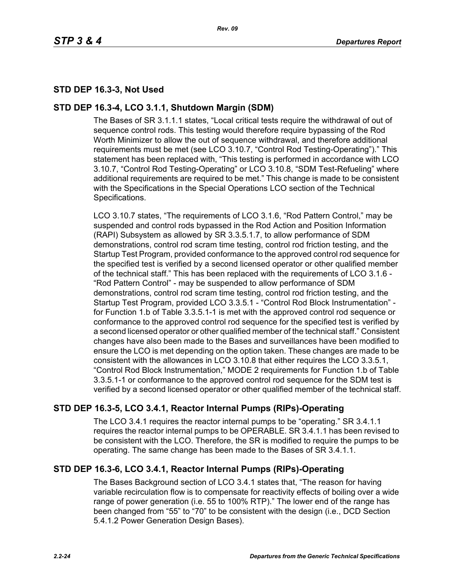# **STD DEP 16.3-3, Not Used**

## **STD DEP 16.3-4, LCO 3.1.1, Shutdown Margin (SDM)**

The Bases of SR 3.1.1.1 states, "Local critical tests require the withdrawal of out of sequence control rods. This testing would therefore require bypassing of the Rod Worth Minimizer to allow the out of sequence withdrawal, and therefore additional requirements must be met (see LCO 3.10.7, "Control Rod Testing-Operating")." This statement has been replaced with, "This testing is performed in accordance with LCO 3.10.7, "Control Rod Testing-Operating" or LCO 3.10.8, "SDM Test-Refueling" where additional requirements are required to be met." This change is made to be consistent with the Specifications in the Special Operations LCO section of the Technical Specifications.

LCO 3.10.7 states, "The requirements of LCO 3.1.6, "Rod Pattern Control," may be suspended and control rods bypassed in the Rod Action and Position Information (RAPI) Subsystem as allowed by SR 3.3.5.1.7, to allow performance of SDM demonstrations, control rod scram time testing, control rod friction testing, and the Startup Test Program, provided conformance to the approved control rod sequence for the specified test is verified by a second licensed operator or other qualified member of the technical staff." This has been replaced with the requirements of LCO 3.1.6 - "Rod Pattern Control" - may be suspended to allow performance of SDM demonstrations, control rod scram time testing, control rod friction testing, and the Startup Test Program, provided LCO 3.3.5.1 - "Control Rod Block Instrumentation" for Function 1.b of Table 3.3.5.1-1 is met with the approved control rod sequence or conformance to the approved control rod sequence for the specified test is verified by a second licensed operator or other qualified member of the technical staff." Consistent changes have also been made to the Bases and surveillances have been modified to ensure the LCO is met depending on the option taken. These changes are made to be consistent with the allowances in LCO 3.10.8 that either requires the LCO 3.3.5.1, "Control Rod Block Instrumentation," MODE 2 requirements for Function 1.b of Table 3.3.5.1-1 or conformance to the approved control rod sequence for the SDM test is verified by a second licensed operator or other qualified member of the technical staff.

# **STD DEP 16.3-5, LCO 3.4.1, Reactor Internal Pumps (RIPs)-Operating**

The LCO 3.4.1 requires the reactor internal pumps to be "operating." SR 3.4.1.1 requires the reactor internal pumps to be OPERABLE. SR 3.4.1.1 has been revised to be consistent with the LCO. Therefore, the SR is modified to require the pumps to be operating. The same change has been made to the Bases of SR 3.4.1.1.

# **STD DEP 16.3-6, LCO 3.4.1, Reactor Internal Pumps (RIPs)-Operating**

The Bases Background section of LCO 3.4.1 states that, "The reason for having variable recirculation flow is to compensate for reactivity effects of boiling over a wide range of power generation (i.e. 55 to 100% RTP)." The lower end of the range has been changed from "55" to "70" to be consistent with the design (i.e., DCD Section 5.4.1.2 Power Generation Design Bases).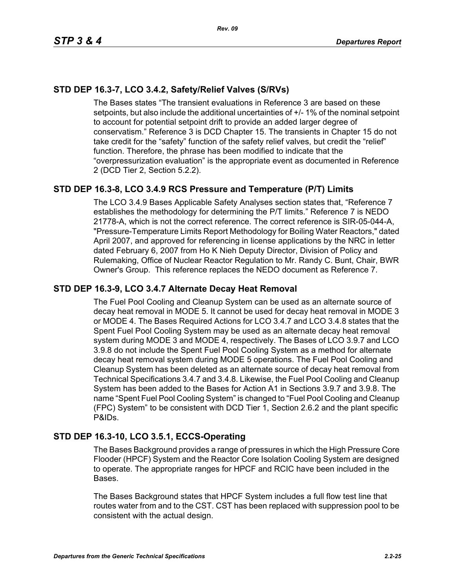# **STD DEP 16.3-7, LCO 3.4.2, Safety/Relief Valves (S/RVs)**

The Bases states "The transient evaluations in Reference 3 are based on these setpoints, but also include the additional uncertainties of +/- 1% of the nominal setpoint to account for potential setpoint drift to provide an added larger degree of conservatism." Reference 3 is DCD Chapter 15. The transients in Chapter 15 do not take credit for the "safety" function of the safety relief valves, but credit the "relief" function. Therefore, the phrase has been modified to indicate that the "overpressurization evaluation" is the appropriate event as documented in Reference 2 (DCD Tier 2, Section 5.2.2).

# **STD DEP 16.3-8, LCO 3.4.9 RCS Pressure and Temperature (P/T) Limits**

The LCO 3.4.9 Bases Applicable Safety Analyses section states that, "Reference 7 establishes the methodology for determining the P/T limits." Reference 7 is NEDO 21778-A, which is not the correct reference. The correct reference is SIR-05-044-A, "Pressure-Temperature Limits Report Methodology for Boiling Water Reactors," dated April 2007, and approved for referencing in license applications by the NRC in letter dated February 6, 2007 from Ho K Nieh Deputy Director, Division of Policy and Rulemaking, Office of Nuclear Reactor Regulation to Mr. Randy C. Bunt, Chair, BWR Owner's Group. This reference replaces the NEDO document as Reference 7.

## **STD DEP 16.3-9, LCO 3.4.7 Alternate Decay Heat Removal**

The Fuel Pool Cooling and Cleanup System can be used as an alternate source of decay heat removal in MODE 5. It cannot be used for decay heat removal in MODE 3 or MODE 4. The Bases Required Actions for LCO 3.4.7 and LCO 3.4.8 states that the Spent Fuel Pool Cooling System may be used as an alternate decay heat removal system during MODE 3 and MODE 4, respectively. The Bases of LCO 3.9.7 and LCO 3.9.8 do not include the Spent Fuel Pool Cooling System as a method for alternate decay heat removal system during MODE 5 operations. The Fuel Pool Cooling and Cleanup System has been deleted as an alternate source of decay heat removal from Technical Specifications 3.4.7 and 3.4.8. Likewise, the Fuel Pool Cooling and Cleanup System has been added to the Bases for Action A1 in Sections 3.9.7 and 3.9.8. The name "Spent Fuel Pool Cooling System" is changed to "Fuel Pool Cooling and Cleanup (FPC) System" to be consistent with DCD Tier 1, Section 2.6.2 and the plant specific P&IDs.

## **STD DEP 16.3-10, LCO 3.5.1, ECCS-Operating**

The Bases Background provides a range of pressures in which the High Pressure Core Flooder (HPCF) System and the Reactor Core Isolation Cooling System are designed to operate. The appropriate ranges for HPCF and RCIC have been included in the Bases.

The Bases Background states that HPCF System includes a full flow test line that routes water from and to the CST. CST has been replaced with suppression pool to be consistent with the actual design.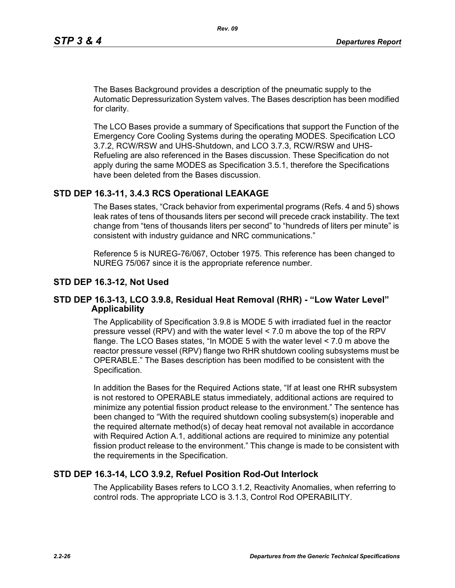The Bases Background provides a description of the pneumatic supply to the Automatic Depressurization System valves. The Bases description has been modified for clarity.

The LCO Bases provide a summary of Specifications that support the Function of the Emergency Core Cooling Systems during the operating MODES. Specification LCO 3.7.2, RCW/RSW and UHS-Shutdown, and LCO 3.7.3, RCW/RSW and UHS-Refueling are also referenced in the Bases discussion. These Specification do not apply during the same MODES as Specification 3.5.1, therefore the Specifications have been deleted from the Bases discussion.

## **STD DEP 16.3-11, 3.4.3 RCS Operational LEAKAGE**

The Bases states, "Crack behavior from experimental programs (Refs. 4 and 5) shows leak rates of tens of thousands liters per second will precede crack instability. The text change from "tens of thousands liters per second" to "hundreds of liters per minute" is consistent with industry guidance and NRC communications."

Reference 5 is NUREG-76/067, October 1975. This reference has been changed to NUREG 75/067 since it is the appropriate reference number.

#### **STD DEP 16.3-12, Not Used**

#### **STD DEP 16.3-13, LCO 3.9.8, Residual Heat Removal (RHR) - "Low Water Level" Applicability**

The Applicability of Specification 3.9.8 is MODE 5 with irradiated fuel in the reactor pressure vessel (RPV) and with the water level < 7.0 m above the top of the RPV flange. The LCO Bases states, "In MODE 5 with the water level < 7.0 m above the reactor pressure vessel (RPV) flange two RHR shutdown cooling subsystems must be OPERABLE." The Bases description has been modified to be consistent with the Specification.

In addition the Bases for the Required Actions state, "If at least one RHR subsystem is not restored to OPERABLE status immediately, additional actions are required to minimize any potential fission product release to the environment." The sentence has been changed to "With the required shutdown cooling subsystem(s) inoperable and the required alternate method(s) of decay heat removal not available in accordance with Required Action A.1, additional actions are required to minimize any potential fission product release to the environment." This change is made to be consistent with the requirements in the Specification.

## **STD DEP 16.3-14, LCO 3.9.2, Refuel Position Rod-Out Interlock**

The Applicability Bases refers to LCO 3.1.2, Reactivity Anomalies, when referring to control rods. The appropriate LCO is 3.1.3, Control Rod OPERABILITY.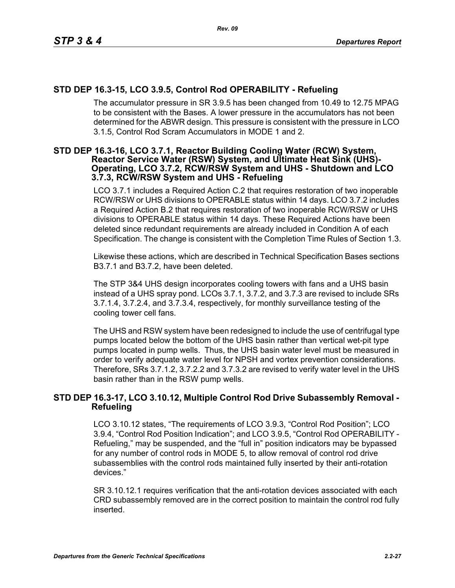# **STD DEP 16.3-15, LCO 3.9.5, Control Rod OPERABILITY - Refueling**

The accumulator pressure in SR 3.9.5 has been changed from 10.49 to 12.75 MPAG to be consistent with the Bases. A lower pressure in the accumulators has not been determined for the ABWR design. This pressure is consistent with the pressure in LCO 3.1.5, Control Rod Scram Accumulators in MODE 1 and 2.

#### **STD DEP 16.3-16, LCO 3.7.1, Reactor Building Cooling Water (RCW) System, Reactor Service Water (RSW) System, and Ultimate Heat Sink (UHS)- Operating, LCO 3.7.2, RCW/RSW System and UHS - Shutdown and LCO 3.7.3, RCW/RSW System and UHS - Refueling**

LCO 3.7.1 includes a Required Action C.2 that requires restoration of two inoperable RCW/RSW or UHS divisions to OPERABLE status within 14 days. LCO 3.7.2 includes a Required Action B.2 that requires restoration of two inoperable RCW/RSW or UHS divisions to OPERABLE status within 14 days. These Required Actions have been deleted since redundant requirements are already included in Condition A of each Specification. The change is consistent with the Completion Time Rules of Section 1.3.

Likewise these actions, which are described in Technical Specification Bases sections B3.7.1 and B3.7.2, have been deleted.

The STP 3&4 UHS design incorporates cooling towers with fans and a UHS basin instead of a UHS spray pond. LCOs 3.7.1, 3.7.2, and 3.7.3 are revised to include SRs 3.7.1.4, 3.7.2.4, and 3.7.3.4, respectively, for monthly surveillance testing of the cooling tower cell fans.

The UHS and RSW system have been redesigned to include the use of centrifugal type pumps located below the bottom of the UHS basin rather than vertical wet-pit type pumps located in pump wells. Thus, the UHS basin water level must be measured in order to verify adequate water level for NPSH and vortex prevention considerations. Therefore, SRs 3.7.1.2, 3.7.2.2 and 3.7.3.2 are revised to verify water level in the UHS basin rather than in the RSW pump wells.

## **STD DEP 16.3-17, LCO 3.10.12, Multiple Control Rod Drive Subassembly Removal - Refueling**

LCO 3.10.12 states, "The requirements of LCO 3.9.3, "Control Rod Position"; LCO 3.9.4, "Control Rod Position Indication"; and LCO 3.9.5, "Control Rod OPERABILITY - Refueling," may be suspended, and the "full in" position indicators may be bypassed for any number of control rods in MODE 5, to allow removal of control rod drive subassemblies with the control rods maintained fully inserted by their anti-rotation devices."

SR 3.10.12.1 requires verification that the anti-rotation devices associated with each CRD subassembly removed are in the correct position to maintain the control rod fully inserted.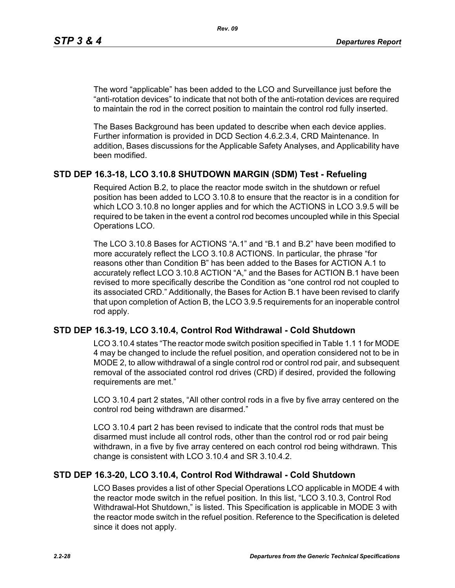The word "applicable" has been added to the LCO and Surveillance just before the "anti-rotation devices" to indicate that not both of the anti-rotation devices are required to maintain the rod in the correct position to maintain the control rod fully inserted.

The Bases Background has been updated to describe when each device applies. Further information is provided in DCD Section 4.6.2.3.4, CRD Maintenance. In addition, Bases discussions for the Applicable Safety Analyses, and Applicability have been modified.

## **STD DEP 16.3-18, LCO 3.10.8 SHUTDOWN MARGIN (SDM) Test - Refueling**

Required Action B.2, to place the reactor mode switch in the shutdown or refuel position has been added to LCO 3.10.8 to ensure that the reactor is in a condition for which LCO 3.10.8 no longer applies and for which the ACTIONS in LCO 3.9.5 will be required to be taken in the event a control rod becomes uncoupled while in this Special Operations LCO.

The LCO 3.10.8 Bases for ACTIONS "A.1" and "B.1 and B.2" have been modified to more accurately reflect the LCO 3.10.8 ACTIONS. In particular, the phrase "for reasons other than Condition B" has been added to the Bases for ACTION A.1 to accurately reflect LCO 3.10.8 ACTION "A," and the Bases for ACTION B.1 have been revised to more specifically describe the Condition as "one control rod not coupled to its associated CRD." Additionally, the Bases for Action B.1 have been revised to clarify that upon completion of Action B, the LCO 3.9.5 requirements for an inoperable control rod apply.

## **STD DEP 16.3-19, LCO 3.10.4, Control Rod Withdrawal - Cold Shutdown**

LCO 3.10.4 states "The reactor mode switch position specified in Table 1.1 1 for MODE 4 may be changed to include the refuel position, and operation considered not to be in MODE 2, to allow withdrawal of a single control rod or control rod pair, and subsequent removal of the associated control rod drives (CRD) if desired, provided the following requirements are met."

LCO 3.10.4 part 2 states, "All other control rods in a five by five array centered on the control rod being withdrawn are disarmed."

LCO 3.10.4 part 2 has been revised to indicate that the control rods that must be disarmed must include all control rods, other than the control rod or rod pair being withdrawn, in a five by five array centered on each control rod being withdrawn. This change is consistent with LCO 3.10.4 and SR 3.10.4.2.

## **STD DEP 16.3-20, LCO 3.10.4, Control Rod Withdrawal - Cold Shutdown**

LCO Bases provides a list of other Special Operations LCO applicable in MODE 4 with the reactor mode switch in the refuel position. In this list, "LCO 3.10.3, Control Rod Withdrawal-Hot Shutdown," is listed. This Specification is applicable in MODE 3 with the reactor mode switch in the refuel position. Reference to the Specification is deleted since it does not apply.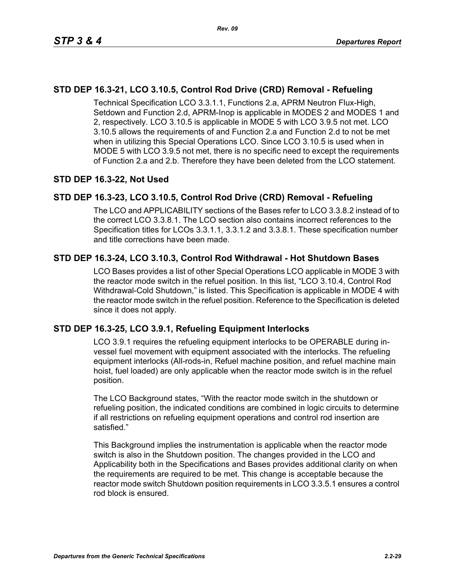# **STD DEP 16.3-21, LCO 3.10.5, Control Rod Drive (CRD) Removal - Refueling**

Technical Specification LCO 3.3.1.1, Functions 2.a, APRM Neutron Flux-High, Setdown and Function 2.d, APRM-Inop is applicable in MODES 2 and MODES 1 and 2, respectively. LCO 3.10.5 is applicable in MODE 5 with LCO 3.9.5 not met. LCO 3.10.5 allows the requirements of and Function 2.a and Function 2.d to not be met when in utilizing this Special Operations LCO. Since LCO 3.10.5 is used when in MODE 5 with LCO 3.9.5 not met, there is no specific need to except the requirements of Function 2.a and 2.b. Therefore they have been deleted from the LCO statement.

# **STD DEP 16.3-22, Not Used**

# **STD DEP 16.3-23, LCO 3.10.5, Control Rod Drive (CRD) Removal - Refueling**

The LCO and APPLICABILITY sections of the Bases refer to LCO 3.3.8.2 instead of to the correct LCO 3.3.8.1. The LCO section also contains incorrect references to the Specification titles for LCOs 3.3.1.1, 3.3.1.2 and 3.3.8.1. These specification number and title corrections have been made.

# **STD DEP 16.3-24, LCO 3.10.3, Control Rod Withdrawal - Hot Shutdown Bases**

LCO Bases provides a list of other Special Operations LCO applicable in MODE 3 with the reactor mode switch in the refuel position. In this list, "LCO 3.10.4, Control Rod Withdrawal-Cold Shutdown," is listed. This Specification is applicable in MODE 4 with the reactor mode switch in the refuel position. Reference to the Specification is deleted since it does not apply.

# **STD DEP 16.3-25, LCO 3.9.1, Refueling Equipment Interlocks**

LCO 3.9.1 requires the refueling equipment interlocks to be OPERABLE during invessel fuel movement with equipment associated with the interlocks. The refueling equipment interlocks (All-rods-in, Refuel machine position, and refuel machine main hoist, fuel loaded) are only applicable when the reactor mode switch is in the refuel position.

The LCO Background states, "With the reactor mode switch in the shutdown or refueling position, the indicated conditions are combined in logic circuits to determine if all restrictions on refueling equipment operations and control rod insertion are satisfied."

This Background implies the instrumentation is applicable when the reactor mode switch is also in the Shutdown position. The changes provided in the LCO and Applicability both in the Specifications and Bases provides additional clarity on when the requirements are required to be met. This change is acceptable because the reactor mode switch Shutdown position requirements in LCO 3.3.5.1 ensures a control rod block is ensured.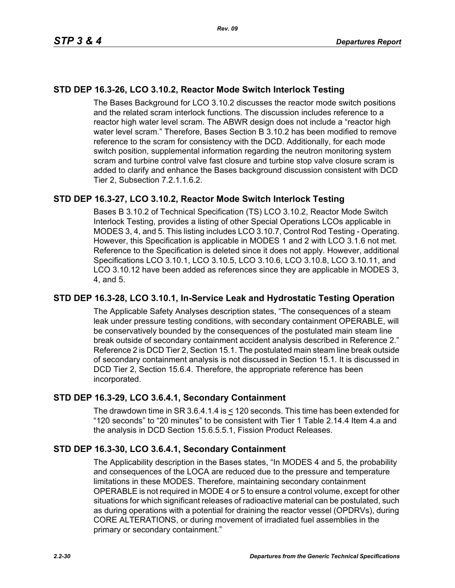# **STD DEP 16.3-26, LCO 3.10.2, Reactor Mode Switch Interlock Testing**

The Bases Background for LCO 3.10.2 discusses the reactor mode switch positions and the related scram interlock functions. The discussion includes reference to a reactor high water level scram. The ABWR design does not include a "reactor high water level scram." Therefore, Bases Section B 3.10.2 has been modified to remove reference to the scram for consistency with the DCD. Additionally, for each mode switch position, supplemental information regarding the neutron monitoring system scram and turbine control valve fast closure and turbine stop valve closure scram is added to clarify and enhance the Bases background discussion consistent with DCD Tier 2, Subsection 7.2.1.1.6.2.

# **STD DEP 16.3-27, LCO 3.10.2, Reactor Mode Switch Interlock Testing**

Bases B 3.10.2 of Technical Specification (TS) LCO 3.10.2, Reactor Mode Switch Interlock Testing, provides a listing of other Special Operations LCOs applicable in MODES 3, 4, and 5. This listing includes LCO 3.10.7, Control Rod Testing - Operating. However, this Specification is applicable in MODES 1 and 2 with LCO 3.1.6 not met. Reference to the Specification is deleted since it does not apply. However, additional Specifications LCO 3.10.1, LCO 3.10.5, LCO 3.10.6, LCO 3.10.8, LCO 3.10.11, and LCO 3.10.12 have been added as references since they are applicable in MODES 3, 4, and 5.

## **STD DEP 16.3-28, LCO 3.10.1, In-Service Leak and Hydrostatic Testing Operation**

The Applicable Safety Analyses description states, "The consequences of a steam leak under pressure testing conditions, with secondary containment OPERABLE, will be conservatively bounded by the consequences of the postulated main steam line break outside of secondary containment accident analysis described in Reference 2." Reference 2 is DCD Tier 2, Section 15.1. The postulated main steam line break outside of secondary containment analysis is not discussed in Section 15.1. It is discussed in DCD Tier 2, Section 15.6.4. Therefore, the appropriate reference has been incorporated.

## **STD DEP 16.3-29, LCO 3.6.4.1, Secondary Containment**

The drawdown time in SR 3.6.4.1.4 is < 120 seconds. This time has been extended for "120 seconds" to "20 minutes" to be consistent with Tier 1 Table 2.14.4 Item 4.a and the analysis in DCD Section 15.6.5.5.1, Fission Product Releases.

## **STD DEP 16.3-30, LCO 3.6.4.1, Secondary Containment**

The Applicability description in the Bases states, "In MODES 4 and 5, the probability and consequences of the LOCA are reduced due to the pressure and temperature limitations in these MODES. Therefore, maintaining secondary containment OPERABLE is not required in MODE 4 or 5 to ensure a control volume, except for other situations for which significant releases of radioactive material can be postulated, such as during operations with a potential for draining the reactor vessel (OPDRVs), during CORE ALTERATIONS, or during movement of irradiated fuel assemblies in the primary or secondary containment."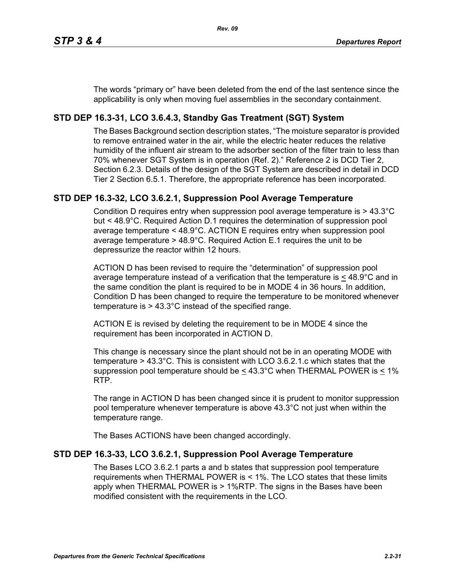The words "primary or" have been deleted from the end of the last sentence since the applicability is only when moving fuel assemblies in the secondary containment.

# **STD DEP 16.3-31, LCO 3.6.4.3, Standby Gas Treatment (SGT) System**

The Bases Background section description states, "The moisture separator is provided to remove entrained water in the air, while the electric heater reduces the relative humidity of the influent air stream to the adsorber section of the filter train to less than 70% whenever SGT System is in operation (Ref. 2)." Reference 2 is DCD Tier 2, Section 6.2.3. Details of the design of the SGT System are described in detail in DCD Tier 2 Section 6.5.1. Therefore, the appropriate reference has been incorporated.

# **STD DEP 16.3-32, LCO 3.6.2.1, Suppression Pool Average Temperature**

Condition D requires entry when suppression pool average temperature is > 43.3°C but < 48.9°C. Required Action D.1 requires the determination of suppression pool average temperature < 48.9°C. ACTION E requires entry when suppression pool average temperature > 48.9°C. Required Action E.1 requires the unit to be depressurize the reactor within 12 hours.

ACTION D has been revised to require the "determination" of suppression pool average temperature instead of a verification that the temperature is  $\leq 48.9^{\circ}$ C and in the same condition the plant is required to be in MODE 4 in 36 hours. In addition, Condition D has been changed to require the temperature to be monitored whenever temperature is > 43.3°C instead of the specified range.

ACTION E is revised by deleting the requirement to be in MODE 4 since the requirement has been incorporated in ACTION D.

This change is necessary since the plant should not be in an operating MODE with temperature > 43.3°C. This is consistent with LCO 3.6.2.1.c which states that the suppression pool temperature should be  $\leq 43.3^{\circ}$ C when THERMAL POWER is  $\leq 1\%$ RTP.

The range in ACTION D has been changed since it is prudent to monitor suppression pool temperature whenever temperature is above 43.3°C not just when within the temperature range.

The Bases ACTIONS have been changed accordingly.

# **STD DEP 16.3-33, LCO 3.6.2.1, Suppression Pool Average Temperature**

The Bases LCO 3.6.2.1 parts a and b states that suppression pool temperature requirements when THERMAL POWER is < 1%. The LCO states that these limits apply when THERMAL POWER is > 1%RTP. The signs in the Bases have been modified consistent with the requirements in the LCO.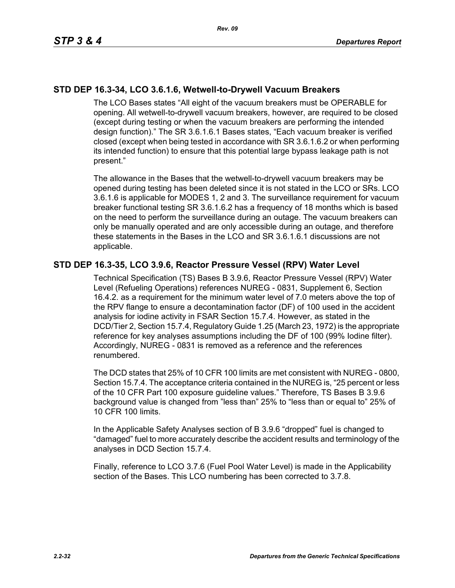# **STD DEP 16.3-34, LCO 3.6.1.6, Wetwell-to-Drywell Vacuum Breakers**

The LCO Bases states "All eight of the vacuum breakers must be OPERABLE for opening. All wetwell-to-drywell vacuum breakers, however, are required to be closed (except during testing or when the vacuum breakers are performing the intended design function)." The SR 3.6.1.6.1 Bases states, "Each vacuum breaker is verified closed (except when being tested in accordance with SR 3.6.1.6.2 or when performing its intended function) to ensure that this potential large bypass leakage path is not present."

The allowance in the Bases that the wetwell-to-drywell vacuum breakers may be opened during testing has been deleted since it is not stated in the LCO or SRs. LCO 3.6.1.6 is applicable for MODES 1, 2 and 3. The surveillance requirement for vacuum breaker functional testing SR 3.6.1.6.2 has a frequency of 18 months which is based on the need to perform the surveillance during an outage. The vacuum breakers can only be manually operated and are only accessible during an outage, and therefore these statements in the Bases in the LCO and SR 3.6.1.6.1 discussions are not applicable.

## **STD DEP 16.3-35, LCO 3.9.6, Reactor Pressure Vessel (RPV) Water Level**

Technical Specification (TS) Bases B 3.9.6, Reactor Pressure Vessel (RPV) Water Level (Refueling Operations) references NUREG - 0831, Supplement 6, Section 16.4.2. as a requirement for the minimum water level of 7.0 meters above the top of the RPV flange to ensure a decontamination factor (DF) of 100 used in the accident analysis for iodine activity in FSAR Section 15.7.4. However, as stated in the DCD/Tier 2, Section 15.7.4, Regulatory Guide 1.25 (March 23, 1972) is the appropriate reference for key analyses assumptions including the DF of 100 (99% Iodine filter). Accordingly, NUREG - 0831 is removed as a reference and the references renumbered.

The DCD states that 25% of 10 CFR 100 limits are met consistent with NUREG - 0800, Section 15.7.4. The acceptance criteria contained in the NUREG is, "25 percent or less of the 10 CFR Part 100 exposure guideline values." Therefore, TS Bases B 3.9.6 background value is changed from "less than" 25% to "less than or equal to" 25% of 10 CFR 100 limits.

In the Applicable Safety Analyses section of B 3.9.6 "dropped" fuel is changed to "damaged" fuel to more accurately describe the accident results and terminology of the analyses in DCD Section 15.7.4.

Finally, reference to LCO 3.7.6 (Fuel Pool Water Level) is made in the Applicability section of the Bases. This LCO numbering has been corrected to 3.7.8.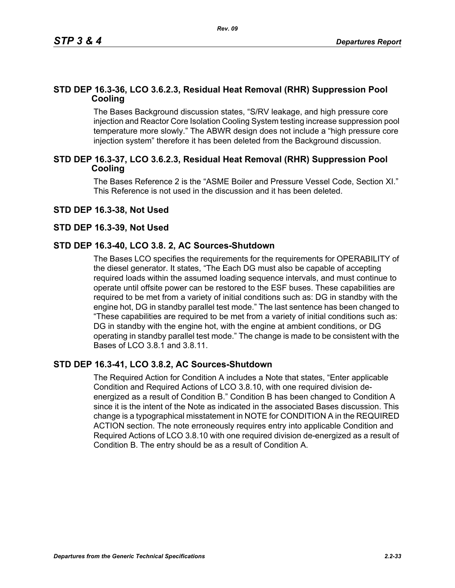# **STD DEP 16.3-36, LCO 3.6.2.3, Residual Heat Removal (RHR) Suppression Pool Cooling**

The Bases Background discussion states, "S/RV leakage, and high pressure core injection and Reactor Core Isolation Cooling System testing increase suppression pool temperature more slowly." The ABWR design does not include a "high pressure core injection system" therefore it has been deleted from the Background discussion.

## **STD DEP 16.3-37, LCO 3.6.2.3, Residual Heat Removal (RHR) Suppression Pool Cooling**

The Bases Reference 2 is the "ASME Boiler and Pressure Vessel Code, Section XI." This Reference is not used in the discussion and it has been deleted.

## **STD DEP 16.3-38, Not Used**

#### **STD DEP 16.3-39, Not Used**

## **STD DEP 16.3-40, LCO 3.8. 2, AC Sources-Shutdown**

The Bases LCO specifies the requirements for the requirements for OPERABILITY of the diesel generator. It states, "The Each DG must also be capable of accepting required loads within the assumed loading sequence intervals, and must continue to operate until offsite power can be restored to the ESF buses. These capabilities are required to be met from a variety of initial conditions such as: DG in standby with the engine hot, DG in standby parallel test mode." The last sentence has been changed to "These capabilities are required to be met from a variety of initial conditions such as: DG in standby with the engine hot, with the engine at ambient conditions, or DG operating in standby parallel test mode." The change is made to be consistent with the Bases of LCO 3.8.1 and 3.8.11.

## **STD DEP 16.3-41, LCO 3.8.2, AC Sources-Shutdown**

The Required Action for Condition A includes a Note that states, "Enter applicable Condition and Required Actions of LCO 3.8.10, with one required division deenergized as a result of Condition B." Condition B has been changed to Condition A since it is the intent of the Note as indicated in the associated Bases discussion. This change is a typographical misstatement in NOTE for CONDITION A in the REQUIRED ACTION section. The note erroneously requires entry into applicable Condition and Required Actions of LCO 3.8.10 with one required division de-energized as a result of Condition B. The entry should be as a result of Condition A.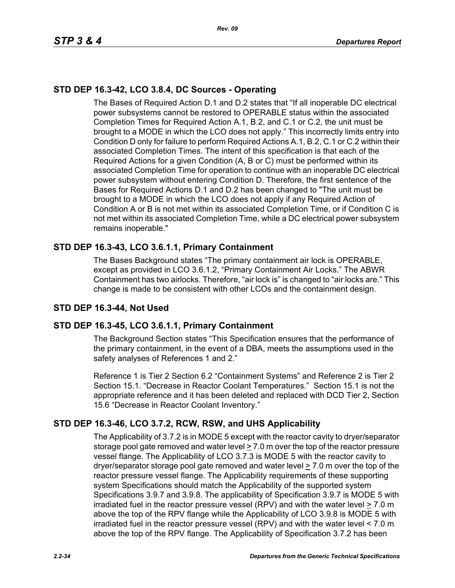# **STD DEP 16.3-42, LCO 3.8.4, DC Sources - Operating**

The Bases of Required Action D.1 and D.2 states that "If all inoperable DC electrical power subsystems cannot be restored to OPERABLE status within the associated Completion Times for Required Action A.1, B.2, and C.1 or C.2, the unit must be brought to a MODE in which the LCO does not apply." This incorrectly limits entry into Condition D only for failure to perform Required Actions A.1, B.2, C.1 or C.2 within their associated Completion Times. The intent of this specification is that each of the Required Actions for a given Condition (A, B or C) must be performed within its associated Completion Time for operation to continue with an inoperable DC electrical power subsystem without entering Condition D. Therefore, the first sentence of the Bases for Required Actions D.1 and D.2 has been changed to "The unit must be brought to a MODE in which the LCO does not apply if any Required Action of Condition A or B is not met within its associated Completion Time, or if Condition C is not met within its associated Completion Time, while a DC electrical power subsystem remains inoperable."

# **STD DEP 16.3-43, LCO 3.6.1.1, Primary Containment**

The Bases Background states "The primary containment air lock is OPERABLE, except as provided in LCO 3.6.1.2, "Primary Containment Air Locks." The ABWR Containment has two airlocks. Therefore, "air lock is" is changed to "air locks are." This change is made to be consistent with other LCOs and the containment design.

# **STD DEP 16.3-44, Not Used**

# **STD DEP 16.3-45, LCO 3.6.1.1, Primary Containment**

The Background Section states "This Specification ensures that the performance of the primary containment, in the event of a DBA, meets the assumptions used in the safety analyses of References 1 and 2."

Reference 1 is Tier 2 Section 6.2 "Containment Systems" and Reference 2 is Tier 2 Section 15.1. "Decrease in Reactor Coolant Temperatures." Section 15.1 is not the appropriate reference and it has been deleted and replaced with DCD Tier 2, Section 15.6 "Decrease in Reactor Coolant Inventory."

# **STD DEP 16.3-46, LCO 3.7.2, RCW, RSW, and UHS Applicability**

The Applicability of 3.7.2 is in MODE 5 except with the reactor cavity to dryer/separator storage pool gate removed and water level  $\geq 7.0$  m over the top of the reactor pressure vessel flange. The Applicability of LCO 3.7.3 is MODE 5 with the reactor cavity to dryer/separator storage pool gate removed and water level  $\geq 7.0$  m over the top of the reactor pressure vessel flange. The Applicability requirements of these supporting system Specifications should match the Applicability of the supported system Specifications 3.9.7 and 3.9.8. The applicability of Specification 3.9.7 is MODE 5 with irradiated fuel in the reactor pressure vessel (RPV) and with the water level > 7.0 m above the top of the RPV flange while the Applicability of LCO 3.9.8 is MODE 5 with irradiated fuel in the reactor pressure vessel (RPV) and with the water level < 7.0 m above the top of the RPV flange. The Applicability of Specification 3.7.2 has been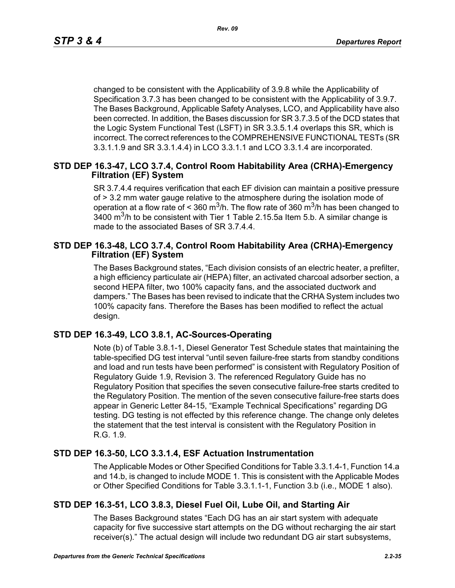changed to be consistent with the Applicability of 3.9.8 while the Applicability of Specification 3.7.3 has been changed to be consistent with the Applicability of 3.9.7. The Bases Background, Applicable Safety Analyses, LCO, and Applicability have also been corrected. In addition, the Bases discussion for SR 3.7.3.5 of the DCD states that the Logic System Functional Test (LSFT) in SR 3.3.5.1.4 overlaps this SR, which is incorrect. The correct references to the COMPREHENSIVE FUNCTIONAL TESTs (SR 3.3.1.1.9 and SR 3.3.1.4.4) in LCO 3.3.1.1 and LCO 3.3.1.4 are incorporated.

## **STD DEP 16.3-47, LCO 3.7.4, Control Room Habitability Area (CRHA)-Emergency Filtration (EF) System**

SR 3.7.4.4 requires verification that each EF division can maintain a positive pressure of > 3.2 mm water gauge relative to the atmosphere during the isolation mode of operation at a flow rate of < 360 m<sup>3</sup>/h. The flow rate of 360 m<sup>3</sup>/h has been changed to  $3400$  m<sup>3</sup>/h to be consistent with Tier 1 Table 2.15.5a Item 5.b. A similar change is made to the associated Bases of SR 3.7.4.4.

## **STD DEP 16.3-48, LCO 3.7.4, Control Room Habitability Area (CRHA)-Emergency Filtration (EF) System**

The Bases Background states, "Each division consists of an electric heater, a prefilter, a high efficiency particulate air (HEPA) filter, an activated charcoal adsorber section, a second HEPA filter, two 100% capacity fans, and the associated ductwork and dampers." The Bases has been revised to indicate that the CRHA System includes two 100% capacity fans. Therefore the Bases has been modified to reflect the actual design.

# **STD DEP 16.3-49, LCO 3.8.1, AC-Sources-Operating**

Note (b) of Table 3.8.1-1, Diesel Generator Test Schedule states that maintaining the table-specified DG test interval "until seven failure-free starts from standby conditions and load and run tests have been performed" is consistent with Regulatory Position of Regulatory Guide 1.9, Revision 3. The referenced Regulatory Guide has no Regulatory Position that specifies the seven consecutive failure-free starts credited to the Regulatory Position. The mention of the seven consecutive failure-free starts does appear in Generic Letter 84-15, "Example Technical Specifications" regarding DG testing. DG testing is not effected by this reference change. The change only deletes the statement that the test interval is consistent with the Regulatory Position in R.G. 1.9.

# **STD DEP 16.3-50, LCO 3.3.1.4, ESF Actuation Instrumentation**

The Applicable Modes or Other Specified Conditions for Table 3.3.1.4-1, Function 14.a and 14.b, is changed to include MODE 1. This is consistent with the Applicable Modes or Other Specified Conditions for Table 3.3.1.1-1, Function 3.b (i.e., MODE 1 also).

# **STD DEP 16.3-51, LCO 3.8.3, Diesel Fuel Oil, Lube Oil, and Starting Air**

The Bases Background states "Each DG has an air start system with adequate capacity for five successive start attempts on the DG without recharging the air start receiver(s)." The actual design will include two redundant DG air start subsystems,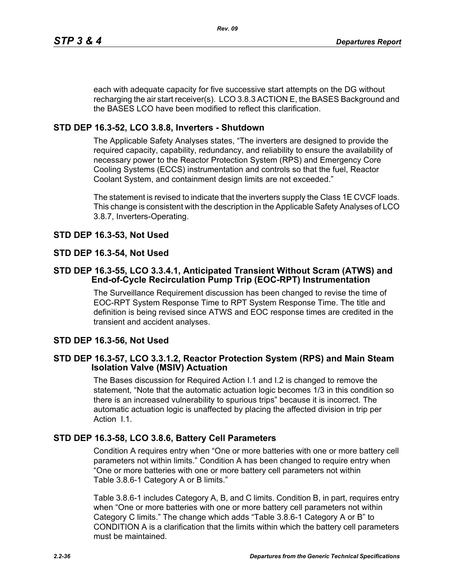each with adequate capacity for five successive start attempts on the DG without recharging the air start receiver(s). LCO 3.8.3 ACTION E, the BASES Background and the BASES LCO have been modified to reflect this clarification.

# **STD DEP 16.3-52, LCO 3.8.8, Inverters - Shutdown**

The Applicable Safety Analyses states, "The inverters are designed to provide the required capacity, capability, redundancy, and reliability to ensure the availability of necessary power to the Reactor Protection System (RPS) and Emergency Core Cooling Systems (ECCS) instrumentation and controls so that the fuel, Reactor Coolant System, and containment design limits are not exceeded."

The statement is revised to indicate that the inverters supply the Class 1E CVCF loads. This change is consistent with the description in the Applicable Safety Analyses of LCO 3.8.7, Inverters-Operating.

# **STD DEP 16.3-53, Not Used**

# **STD DEP 16.3-54, Not Used**

## **STD DEP 16.3-55, LCO 3.3.4.1, Anticipated Transient Without Scram (ATWS) and End-of-Cycle Recirculation Pump Trip (EOC-RPT) Instrumentation**

The Surveillance Requirement discussion has been changed to revise the time of EOC-RPT System Response Time to RPT System Response Time. The title and definition is being revised since ATWS and EOC response times are credited in the transient and accident analyses.

# **STD DEP 16.3-56, Not Used**

## **STD DEP 16.3-57, LCO 3.3.1.2, Reactor Protection System (RPS) and Main Steam Isolation Valve (MSIV) Actuation**

The Bases discussion for Required Action I.1 and I.2 is changed to remove the statement, "Note that the automatic actuation logic becomes 1/3 in this condition so there is an increased vulnerability to spurious trips" because it is incorrect. The automatic actuation logic is unaffected by placing the affected division in trip per Action I.1.

# **STD DEP 16.3-58, LCO 3.8.6, Battery Cell Parameters**

Condition A requires entry when "One or more batteries with one or more battery cell parameters not within limits." Condition A has been changed to require entry when "One or more batteries with one or more battery cell parameters not within Table 3.8.6-1 Category A or B limits."

Table 3.8.6-1 includes Category A, B, and C limits. Condition B, in part, requires entry when "One or more batteries with one or more battery cell parameters not within Category C limits." The change which adds "Table 3.8.6-1 Category A or B" to CONDITION A is a clarification that the limits within which the battery cell parameters must be maintained.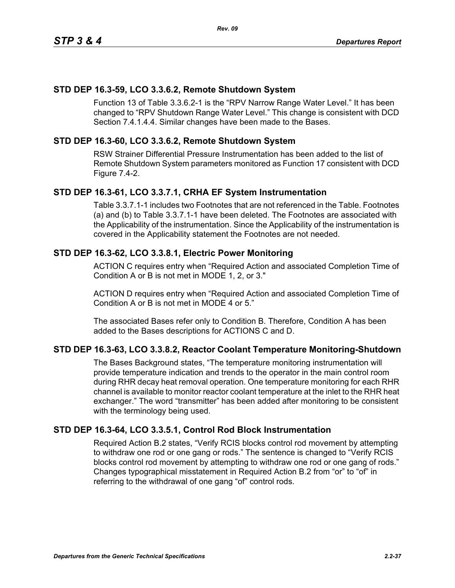## **STD DEP 16.3-59, LCO 3.3.6.2, Remote Shutdown System**

Function 13 of Table 3.3.6.2-1 is the "RPV Narrow Range Water Level." It has been changed to "RPV Shutdown Range Water Level." This change is consistent with DCD Section 7.4.1.4.4. Similar changes have been made to the Bases.

## **STD DEP 16.3-60, LCO 3.3.6.2, Remote Shutdown System**

RSW Strainer Differential Pressure Instrumentation has been added to the list of Remote Shutdown System parameters monitored as Function 17 consistent with DCD Figure 7.4-2.

## **STD DEP 16.3-61, LCO 3.3.7.1, CRHA EF System Instrumentation**

Table 3.3.7.1-1 includes two Footnotes that are not referenced in the Table. Footnotes (a) and (b) to Table 3.3.7.1-1 have been deleted. The Footnotes are associated with the Applicability of the instrumentation. Since the Applicability of the instrumentation is covered in the Applicability statement the Footnotes are not needed.

## **STD DEP 16.3-62, LCO 3.3.8.1, Electric Power Monitoring**

ACTION C requires entry when "Required Action and associated Completion Time of Condition A or B is not met in MODE 1, 2, or 3."

ACTION D requires entry when "Required Action and associated Completion Time of Condition A or B is not met in MODE 4 or 5."

The associated Bases refer only to Condition B. Therefore, Condition A has been added to the Bases descriptions for ACTIONS C and D.

## **STD DEP 16.3-63, LCO 3.3.8.2, Reactor Coolant Temperature Monitoring-Shutdown**

The Bases Background states, "The temperature monitoring instrumentation will provide temperature indication and trends to the operator in the main control room during RHR decay heat removal operation. One temperature monitoring for each RHR channel is available to monitor reactor coolant temperature at the inlet to the RHR heat exchanger." The word "transmitter" has been added after monitoring to be consistent with the terminology being used.

## **STD DEP 16.3-64, LCO 3.3.5.1, Control Rod Block Instrumentation**

Required Action B.2 states, "Verify RCIS blocks control rod movement by attempting to withdraw one rod or one gang or rods." The sentence is changed to "Verify RCIS blocks control rod movement by attempting to withdraw one rod or one gang of rods." Changes typographical misstatement in Required Action B.2 from "or" to "of" in referring to the withdrawal of one gang "of" control rods.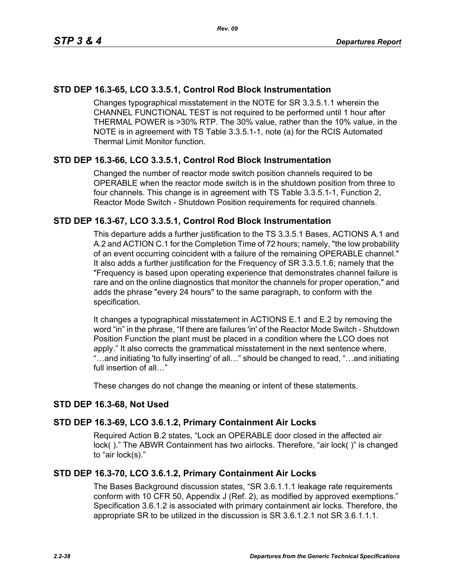# **STD DEP 16.3-65, LCO 3.3.5.1, Control Rod Block Instrumentation**

Changes typographical misstatement in the NOTE for SR 3.3.5.1.1 wherein the CHANNEL FUNCTIONAL TEST is not required to be performed until 1 hour after THERMAL POWER is >30% RTP. The 30% value, rather than the 10% value, in the NOTE is in agreement with TS Table 3.3.5.1-1, note (a) for the RCIS Automated Thermal Limit Monitor function.

## **STD DEP 16.3-66, LCO 3.3.5.1, Control Rod Block Instrumentation**

Changed the number of reactor mode switch position channels required to be OPERABLE when the reactor mode switch is in the shutdown position from three to four channels. This change is in agreement with TS Table 3.3.5.1-1, Function 2, Reactor Mode Switch - Shutdown Position requirements for required channels.

## **STD DEP 16.3-67, LCO 3.3.5.1, Control Rod Block Instrumentation**

This departure adds a further justification to the TS 3.3.5.1 Bases, ACTIONS A.1 and A.2 and ACTION C.1 for the Completion Time of 72 hours; namely, "the low probability of an event occurring coincident with a failure of the remaining OPERABLE channel." It also adds a further justification for the Frequency of SR 3.3.5.1.6; namely that the "Frequency is based upon operating experience that demonstrates channel failure is rare and on the online diagnostics that monitor the channels for proper operation," and adds the phrase "every 24 hours" to the same paragraph, to conform with the specification.

It changes a typographical misstatement in ACTIONS E.1 and E.2 by removing the word "in" in the phrase, "If there are failures 'in' of the Reactor Mode Switch - Shutdown Position Function the plant must be placed in a condition where the LCO does not apply." It also corrects the grammatical misstatement in the next sentence where, "…and initiating 'to fully inserting' of all…" should be changed to read, "…and initiating full insertion of all…"

These changes do not change the meaning or intent of these statements.

## **STD DEP 16.3-68, Not Used**

## **STD DEP 16.3-69, LCO 3.6.1.2, Primary Containment Air Locks**

Required Action B.2 states, "Lock an OPERABLE door closed in the affected air lock( )." The ABWR Containment has two airlocks. Therefore, "air lock( )" is changed to "air lock(s)."

## **STD DEP 16.3-70, LCO 3.6.1.2, Primary Containment Air Locks**

The Bases Background discussion states, "SR 3.6.1.1.1 leakage rate requirements conform with 10 CFR 50, Appendix J (Ref. 2), as modified by approved exemptions." Specification 3.6.1.2 is associated with primary containment air locks. Therefore, the appropriate SR to be utilized in the discussion is SR 3.6.1.2.1 not SR 3.6.1.1.1.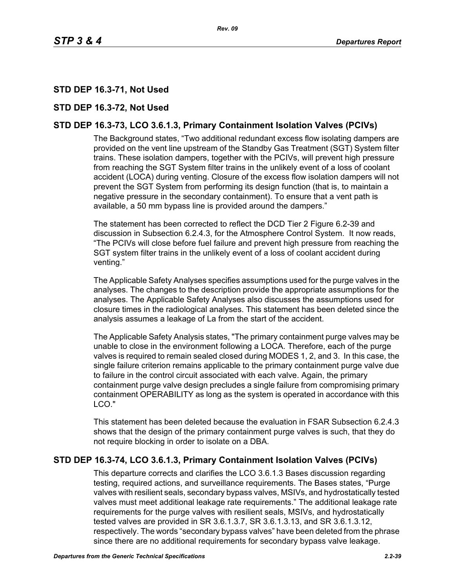# **STD DEP 16.3-71, Not Used**

## **STD DEP 16.3-72, Not Used**

# **STD DEP 16.3-73, LCO 3.6.1.3, Primary Containment Isolation Valves (PCIVs)**

The Background states, "Two additional redundant excess flow isolating dampers are provided on the vent line upstream of the Standby Gas Treatment (SGT) System filter trains. These isolation dampers, together with the PCIVs, will prevent high pressure from reaching the SGT System filter trains in the unlikely event of a loss of coolant accident (LOCA) during venting. Closure of the excess flow isolation dampers will not prevent the SGT System from performing its design function (that is, to maintain a negative pressure in the secondary containment). To ensure that a vent path is available, a 50 mm bypass line is provided around the dampers."

The statement has been corrected to reflect the DCD Tier 2 Figure 6.2-39 and discussion in Subsection 6.2.4.3, for the Atmosphere Control System. It now reads, "The PCIVs will close before fuel failure and prevent high pressure from reaching the SGT system filter trains in the unlikely event of a loss of coolant accident during venting."

The Applicable Safety Analyses specifies assumptions used for the purge valves in the analyses. The changes to the description provide the appropriate assumptions for the analyses. The Applicable Safety Analyses also discusses the assumptions used for closure times in the radiological analyses. This statement has been deleted since the analysis assumes a leakage of La from the start of the accident.

The Applicable Safety Analysis states, "The primary containment purge valves may be unable to close in the environment following a LOCA. Therefore, each of the purge valves is required to remain sealed closed during MODES 1, 2, and 3. In this case, the single failure criterion remains applicable to the primary containment purge valve due to failure in the control circuit associated with each valve. Again, the primary containment purge valve design precludes a single failure from compromising primary containment OPERABILITY as long as the system is operated in accordance with this LCO."

This statement has been deleted because the evaluation in FSAR Subsection 6.2.4.3 shows that the design of the primary containment purge valves is such, that they do not require blocking in order to isolate on a DBA.

## **STD DEP 16.3-74, LCO 3.6.1.3, Primary Containment Isolation Valves (PCIVs)**

This departure corrects and clarifies the LCO 3.6.1.3 Bases discussion regarding testing, required actions, and surveillance requirements. The Bases states, "Purge valves with resilient seals, secondary bypass valves, MSIVs, and hydrostatically tested valves must meet additional leakage rate requirements." The additional leakage rate requirements for the purge valves with resilient seals, MSIVs, and hydrostatically tested valves are provided in SR 3.6.1.3.7, SR 3.6.1.3.13, and SR 3.6.1.3.12, respectively. The words "secondary bypass valves" have been deleted from the phrase since there are no additional requirements for secondary bypass valve leakage.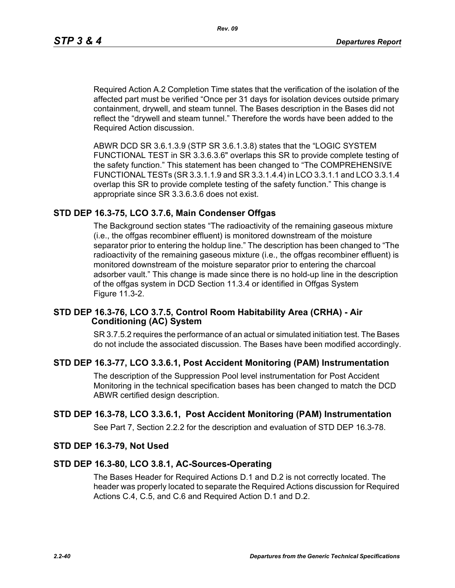Required Action A.2 Completion Time states that the verification of the isolation of the affected part must be verified "Once per 31 days for isolation devices outside primary containment, drywell, and steam tunnel. The Bases description in the Bases did not reflect the "drywell and steam tunnel." Therefore the words have been added to the Required Action discussion.

ABWR DCD SR 3.6.1.3.9 (STP SR 3.6.1.3.8) states that the "LOGIC SYSTEM FUNCTIONAL TEST in SR 3.3.6.3.6" overlaps this SR to provide complete testing of the safety function." This statement has been changed to "The COMPREHENSIVE FUNCTIONAL TESTs (SR 3.3.1.1.9 and SR 3.3.1.4.4) in LCO 3.3.1.1 and LCO 3.3.1.4 overlap this SR to provide complete testing of the safety function." This change is appropriate since SR 3.3.6.3.6 does not exist.

## **STD DEP 16.3-75, LCO 3.7.6, Main Condenser Offgas**

The Background section states "The radioactivity of the remaining gaseous mixture (i.e., the offgas recombiner effluent) is monitored downstream of the moisture separator prior to entering the holdup line." The description has been changed to "The radioactivity of the remaining gaseous mixture (i.e., the offgas recombiner effluent) is monitored downstream of the moisture separator prior to entering the charcoal adsorber vault." This change is made since there is no hold-up line in the description of the offgas system in DCD Section 11.3.4 or identified in Offgas System Figure 11.3-2.

## **STD DEP 16.3-76, LCO 3.7.5, Control Room Habitability Area (CRHA) - Air Conditioning (AC) System**

SR 3.7.5.2 requires the performance of an actual or simulated initiation test. The Bases do not include the associated discussion. The Bases have been modified accordingly.

## **STD DEP 16.3-77, LCO 3.3.6.1, Post Accident Monitoring (PAM) Instrumentation**

The description of the Suppression Pool level instrumentation for Post Accident Monitoring in the technical specification bases has been changed to match the DCD ABWR certified design description.

## **STD DEP 16.3-78, LCO 3.3.6.1, Post Accident Monitoring (PAM) Instrumentation**

See Part 7, Section 2.2.2 for the description and evaluation of STD DEP 16.3-78.

#### **STD DEP 16.3-79, Not Used**

#### **STD DEP 16.3-80, LCO 3.8.1, AC-Sources-Operating**

The Bases Header for Required Actions D.1 and D.2 is not correctly located. The header was properly located to separate the Required Actions discussion for Required Actions C.4, C.5, and C.6 and Required Action D.1 and D.2.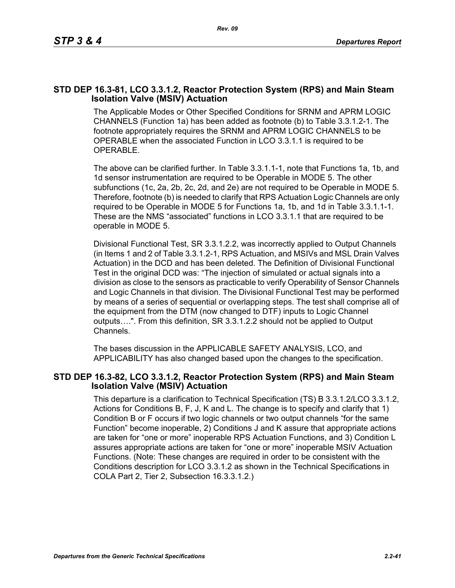## **STD DEP 16.3-81, LCO 3.3.1.2, Reactor Protection System (RPS) and Main Steam Isolation Valve (MSIV) Actuation**

The Applicable Modes or Other Specified Conditions for SRNM and APRM LOGIC CHANNELS (Function 1a) has been added as footnote (b) to Table 3.3.1.2-1. The footnote appropriately requires the SRNM and APRM LOGIC CHANNELS to be OPERABLE when the associated Function in LCO 3.3.1.1 is required to be OPERABLE.

The above can be clarified further. In Table 3.3.1.1-1, note that Functions 1a, 1b, and 1d sensor instrumentation are required to be Operable in MODE 5. The other subfunctions (1c, 2a, 2b, 2c, 2d, and 2e) are not required to be Operable in MODE 5. Therefore, footnote (b) is needed to clarify that RPS Actuation Logic Channels are only required to be Operable in MODE 5 for Functions 1a, 1b, and 1d in Table 3.3.1.1-1. These are the NMS "associated" functions in LCO 3.3.1.1 that are required to be operable in MODE 5.

Divisional Functional Test, SR 3.3.1.2.2, was incorrectly applied to Output Channels (in Items 1 and 2 of Table 3.3.1.2-1, RPS Actuation, and MSIVs and MSL Drain Valves Actuation) in the DCD and has been deleted. The Definition of Divisional Functional Test in the original DCD was: "The injection of simulated or actual signals into a division as close to the sensors as practicable to verify Operability of Sensor Channels and Logic Channels in that division. The Divisional Functional Test may be performed by means of a series of sequential or overlapping steps. The test shall comprise all of the equipment from the DTM (now changed to DTF) inputs to Logic Channel outputs….". From this definition, SR 3.3.1.2.2 should not be applied to Output Channels.

The bases discussion in the APPLICABLE SAFETY ANALYSIS, LCO, and APPLICABILITY has also changed based upon the changes to the specification.

#### **STD DEP 16.3-82, LCO 3.3.1.2, Reactor Protection System (RPS) and Main Steam Isolation Valve (MSIV) Actuation**

This departure is a clarification to Technical Specification (TS) B 3.3.1.2/LCO 3.3.1.2, Actions for Conditions B, F, J, K and L. The change is to specify and clarify that 1) Condition B or F occurs if two logic channels or two output channels "for the same Function" become inoperable, 2) Conditions J and K assure that appropriate actions are taken for "one or more" inoperable RPS Actuation Functions, and 3) Condition L assures appropriate actions are taken for "one or more" inoperable MSIV Actuation Functions. (Note: These changes are required in order to be consistent with the Conditions description for LCO 3.3.1.2 as shown in the Technical Specifications in COLA Part 2, Tier 2, Subsection 16.3.3.1.2.)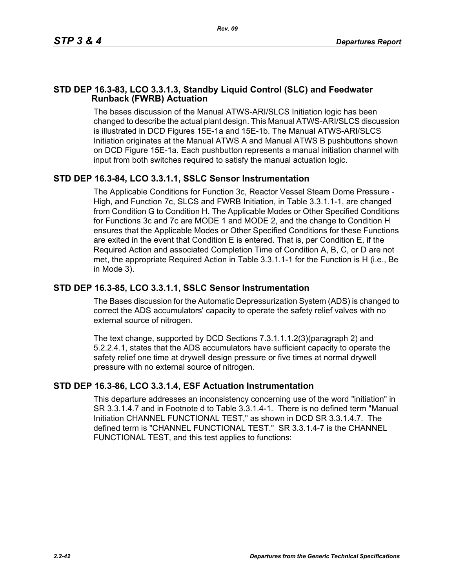# **STD DEP 16.3-83, LCO 3.3.1.3, Standby Liquid Control (SLC) and Feedwater Runback (FWRB) Actuation**

The bases discussion of the Manual ATWS-ARI/SLCS Initiation logic has been changed to describe the actual plant design. This Manual ATWS-ARI/SLCS discussion is illustrated in DCD Figures 15E-1a and 15E-1b. The Manual ATWS-ARI/SLCS Initiation originates at the Manual ATWS A and Manual ATWS B pushbuttons shown on DCD Figure 15E-1a. Each pushbutton represents a manual initiation channel with input from both switches required to satisfy the manual actuation logic.

# **STD DEP 16.3-84, LCO 3.3.1.1, SSLC Sensor Instrumentation**

The Applicable Conditions for Function 3c, Reactor Vessel Steam Dome Pressure - High, and Function 7c, SLCS and FWRB Initiation, in Table 3.3.1.1-1, are changed from Condition G to Condition H. The Applicable Modes or Other Specified Conditions for Functions 3c and 7c are MODE 1 and MODE 2, and the change to Condition H ensures that the Applicable Modes or Other Specified Conditions for these Functions are exited in the event that Condition E is entered. That is, per Condition E, if the Required Action and associated Completion Time of Condition A, B, C, or D are not met, the appropriate Required Action in Table 3.3.1.1-1 for the Function is H (i.e., Be in Mode 3).

# **STD DEP 16.3-85, LCO 3.3.1.1, SSLC Sensor Instrumentation**

The Bases discussion for the Automatic Depressurization System (ADS) is changed to correct the ADS accumulators' capacity to operate the safety relief valves with no external source of nitrogen.

The text change, supported by DCD Sections 7.3.1.1.1.2(3)(paragraph 2) and 5.2.2.4.1, states that the ADS accumulators have sufficient capacity to operate the safety relief one time at drywell design pressure or five times at normal drywell pressure with no external source of nitrogen.

# **STD DEP 16.3-86, LCO 3.3.1.4, ESF Actuation Instrumentation**

This departure addresses an inconsistency concerning use of the word "initiation" in SR 3.3.1.4.7 and in Footnote d to Table 3.3.1.4-1. There is no defined term "Manual Initiation CHANNEL FUNCTIONAL TEST," as shown in DCD SR 3.3.1.4.7. The defined term is "CHANNEL FUNCTIONAL TEST." SR 3.3.1.4-7 is the CHANNEL FUNCTIONAL TEST, and this test applies to functions: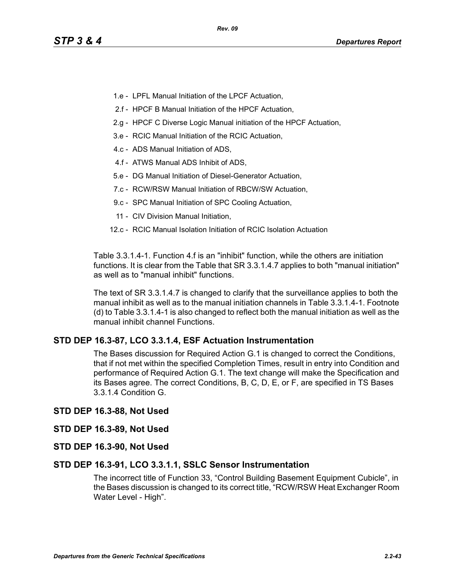- 1.e LPFL Manual Initiation of the LPCF Actuation,
- 2.f HPCF B Manual Initiation of the HPCF Actuation,
- 2.g HPCF C Diverse Logic Manual initiation of the HPCF Actuation,
- 3.e RCIC Manual Initiation of the RCIC Actuation,
- 4.c ADS Manual Initiation of ADS,
- 4.f ATWS Manual ADS Inhibit of ADS,
- 5.e DG Manual Initiation of Diesel-Generator Actuation,
- 7.c RCW/RSW Manual Initiation of RBCW/SW Actuation,
- 9.c SPC Manual Initiation of SPC Cooling Actuation,
- 11 CIV Division Manual Initiation,
- 12.c RCIC Manual Isolation Initiation of RCIC Isolation Actuation

Table 3.3.1.4-1. Function 4.f is an "inhibit" function, while the others are initiation functions. It is clear from the Table that SR 3.3.1.4.7 applies to both "manual initiation" as well as to "manual inhibit" functions.

The text of SR 3.3.1.4.7 is changed to clarify that the surveillance applies to both the manual inhibit as well as to the manual initiation channels in Table 3.3.1.4-1. Footnote (d) to Table 3.3.1.4-1 is also changed to reflect both the manual initiation as well as the manual inhibit channel Functions.

# **STD DEP 16.3-87, LCO 3.3.1.4, ESF Actuation Instrumentation**

The Bases discussion for Required Action G.1 is changed to correct the Conditions, that if not met within the specified Completion Times, result in entry into Condition and performance of Required Action G.1. The text change will make the Specification and its Bases agree. The correct Conditions, B, C, D, E, or F, are specified in TS Bases 3.3.1.4 Condition G.

## **STD DEP 16.3-88, Not Used**

## **STD DEP 16.3-89, Not Used**

**STD DEP 16.3-90, Not Used**

## **STD DEP 16.3-91, LCO 3.3.1.1, SSLC Sensor Instrumentation**

The incorrect title of Function 33, "Control Building Basement Equipment Cubicle", in the Bases discussion is changed to its correct title, "RCW/RSW Heat Exchanger Room Water Level - High".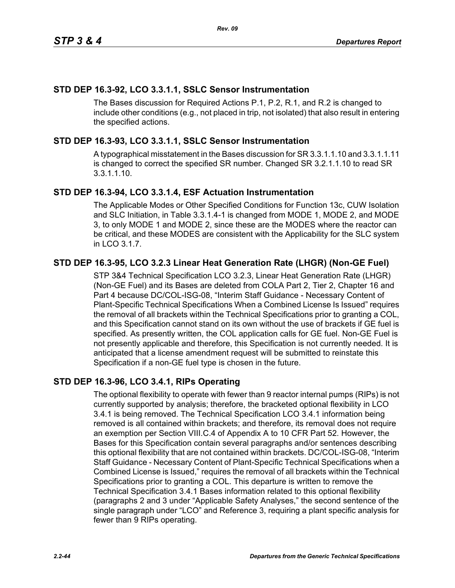# **STD DEP 16.3-92, LCO 3.3.1.1, SSLC Sensor Instrumentation**

The Bases discussion for Required Actions P.1, P.2, R.1, and R.2 is changed to include other conditions (e.g., not placed in trip, not isolated) that also result in entering the specified actions.

# **STD DEP 16.3-93, LCO 3.3.1.1, SSLC Sensor Instrumentation**

A typographical misstatement in the Bases discussion for SR 3.3.1.1.10 and 3.3.1.1.11 is changed to correct the specified SR number. Changed SR 3.2.1.1.10 to read SR 3.3.1.1.10.

# **STD DEP 16.3-94, LCO 3.3.1.4, ESF Actuation Instrumentation**

The Applicable Modes or Other Specified Conditions for Function 13c, CUW Isolation and SLC Initiation, in Table 3.3.1.4-1 is changed from MODE 1, MODE 2, and MODE 3, to only MODE 1 and MODE 2, since these are the MODES where the reactor can be critical, and these MODES are consistent with the Applicability for the SLC system in LCO 3.1.7.

# **STD DEP 16.3-95, LCO 3.2.3 Linear Heat Generation Rate (LHGR) (Non-GE Fuel)**

STP 3&4 Technical Specification LCO 3.2.3, Linear Heat Generation Rate (LHGR) (Non-GE Fuel) and its Bases are deleted from COLA Part 2, Tier 2, Chapter 16 and Part 4 because DC/COL-ISG-08, "Interim Staff Guidance - Necessary Content of Plant-Specific Technical Specifications When a Combined License Is Issued" requires the removal of all brackets within the Technical Specifications prior to granting a COL, and this Specification cannot stand on its own without the use of brackets if GE fuel is specified. As presently written, the COL application calls for GE fuel. Non-GE Fuel is not presently applicable and therefore, this Specification is not currently needed. It is anticipated that a license amendment request will be submitted to reinstate this Specification if a non-GE fuel type is chosen in the future.

# **STD DEP 16.3-96, LCO 3.4.1, RIPs Operating**

The optional flexibility to operate with fewer than 9 reactor internal pumps (RIPs) is not currently supported by analysis; therefore, the bracketed optional flexibility in LCO 3.4.1 is being removed. The Technical Specification LCO 3.4.1 information being removed is all contained within brackets; and therefore, its removal does not require an exemption per Section VIII.C.4 of Appendix A to 10 CFR Part 52. However, the Bases for this Specification contain several paragraphs and/or sentences describing this optional flexibility that are not contained within brackets. DC/COL-ISG-08, "Interim Staff Guidance - Necessary Content of Plant-Specific Technical Specifications when a Combined License is Issued," requires the removal of all brackets within the Technical Specifications prior to granting a COL. This departure is written to remove the Technical Specification 3.4.1 Bases information related to this optional flexibility (paragraphs 2 and 3 under "Applicable Safety Analyses," the second sentence of the single paragraph under "LCO" and Reference 3, requiring a plant specific analysis for fewer than 9 RIPs operating.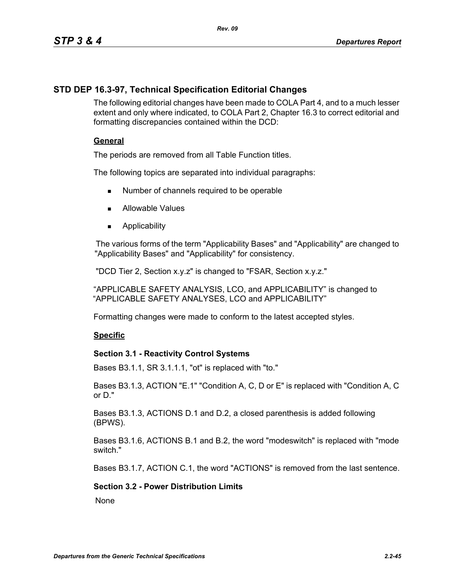# **STD DEP 16.3-97, Technical Specification Editorial Changes**

The following editorial changes have been made to COLA Part 4, and to a much lesser extent and only where indicated, to COLA Part 2, Chapter 16.3 to correct editorial and formatting discrepancies contained within the DCD:

## **General**

The periods are removed from all Table Function titles.

The following topics are separated into individual paragraphs:

- Number of channels required to be operable
- **Allowable Values**
- **Applicability**

The various forms of the term "Applicability Bases" and "Applicability" are changed to "Applicability Bases" and "Applicability" for consistency.

"DCD Tier 2, Section x.y.z" is changed to "FSAR, Section x.y.z."

"APPLICABLE SAFETY ANALYSIS, LCO, and APPLICABILITY" is changed to "APPLICABLE SAFETY ANALYSES, LCO and APPLICABILITY"

Formatting changes were made to conform to the latest accepted styles.

## **Specific**

## **Section 3.1 - Reactivity Control Systems**

Bases B3.1.1, SR 3.1.1.1, "ot" is replaced with "to."

Bases B3.1.3, ACTION "E.1" "Condition A, C, D or E" is replaced with "Condition A, C or D."

Bases B3.1.3, ACTIONS D.1 and D.2, a closed parenthesis is added following (BPWS).

Bases B3.1.6, ACTIONS B.1 and B.2, the word "modeswitch" is replaced with "mode switch."

Bases B3.1.7, ACTION C.1, the word "ACTIONS" is removed from the last sentence.

## **Section 3.2 - Power Distribution Limits**

**None**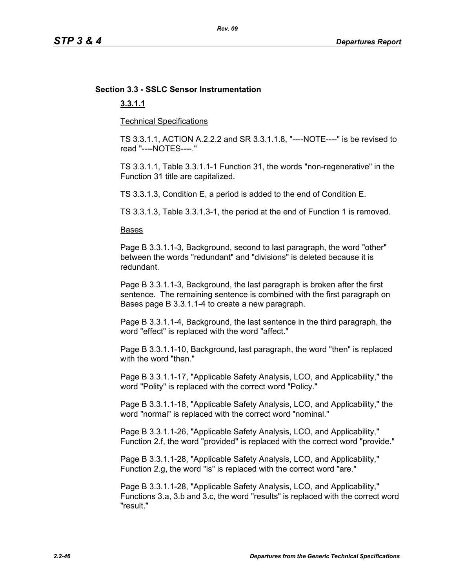# **Section 3.3 - SSLC Sensor Instrumentation**

# **3.3.1.1**

Technical Specifications

TS 3.3.1.1, ACTION A.2.2.2 and SR 3.3.1.1.8, "----NOTE----" is be revised to read "----NOTES----."

TS 3.3.1.1, Table 3.3.1.1-1 Function 31, the words "non-regenerative" in the Function 31 title are capitalized.

TS 3.3.1.3, Condition E, a period is added to the end of Condition E.

TS 3.3.1.3, Table 3.3.1.3-1, the period at the end of Function 1 is removed.

#### Bases

Page B 3.3.1.1-3, Background, second to last paragraph, the word "other" between the words "redundant" and "divisions" is deleted because it is redundant.

Page B 3.3.1.1-3, Background, the last paragraph is broken after the first sentence. The remaining sentence is combined with the first paragraph on Bases page B 3.3.1.1-4 to create a new paragraph.

Page B 3.3.1.1-4, Background, the last sentence in the third paragraph, the word "effect" is replaced with the word "affect."

Page B 3.3.1.1-10, Background, last paragraph, the word "then" is replaced with the word "than."

Page B 3.3.1.1-17, "Applicable Safety Analysis, LCO, and Applicability," the word "Polity" is replaced with the correct word "Policy."

Page B 3.3.1.1-18, "Applicable Safety Analysis, LCO, and Applicability," the word "normal" is replaced with the correct word "nominal."

Page B 3.3.1.1-26, "Applicable Safety Analysis, LCO, and Applicability," Function 2.f, the word "provided" is replaced with the correct word "provide."

Page B 3.3.1.1-28, "Applicable Safety Analysis, LCO, and Applicability," Function 2.g, the word "is" is replaced with the correct word "are."

Page B 3.3.1.1-28, "Applicable Safety Analysis, LCO, and Applicability," Functions 3.a, 3.b and 3.c, the word "results" is replaced with the correct word "result."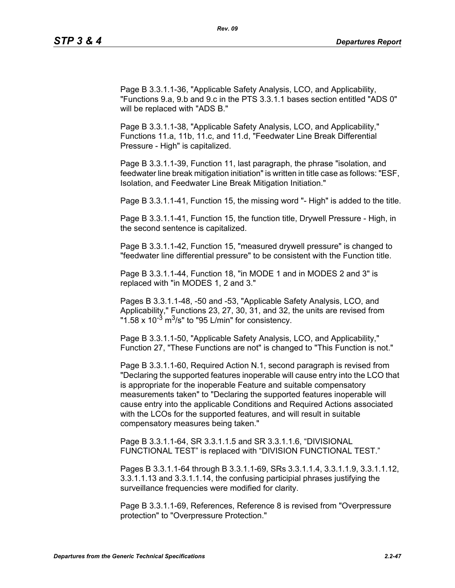Page B 3.3.1.1-36, "Applicable Safety Analysis, LCO, and Applicability, "Functions 9.a, 9.b and 9.c in the PTS 3.3.1.1 bases section entitled "ADS 0" will be replaced with "ADS B."

Page B 3.3.1.1-38, "Applicable Safety Analysis, LCO, and Applicability," Functions 11.a, 11b, 11.c, and 11.d, "Feedwater Line Break Differential Pressure - High" is capitalized.

Page B 3.3.1.1-39, Function 11, last paragraph, the phrase "isolation, and feedwater line break mitigation initiation" is written in title case as follows: "ESF, Isolation, and Feedwater Line Break Mitigation Initiation."

Page B 3.3.1.1-41, Function 15, the missing word "- High" is added to the title.

Page B 3.3.1.1-41, Function 15, the function title, Drywell Pressure - High, in the second sentence is capitalized.

Page B 3.3.1.1-42, Function 15, "measured drywell pressure" is changed to "feedwater line differential pressure" to be consistent with the Function title.

Page B 3.3.1.1-44, Function 18, "in MODE 1 and in MODES 2 and 3" is replaced with "in MODES 1, 2 and 3."

Pages B 3.3.1.1-48, -50 and -53, "Applicable Safety Analysis, LCO, and Applicability," Functions 23, 27, 30, 31, and 32, the units are revised from "1.58 x 10<sup>-3</sup> m<sup>3</sup>/s" to "95 L/min" for consistency.

Page B 3.3.1.1-50, "Applicable Safety Analysis, LCO, and Applicability," Function 27, "These Functions are not" is changed to "This Function is not."

Page B 3.3.1.1-60, Required Action N.1, second paragraph is revised from "Declaring the supported features inoperable will cause entry into the LCO that is appropriate for the inoperable Feature and suitable compensatory measurements taken" to "Declaring the supported features inoperable will cause entry into the applicable Conditions and Required Actions associated with the LCOs for the supported features, and will result in suitable compensatory measures being taken."

Page B 3.3.1.1-64, SR 3.3.1.1.5 and SR 3.3.1.1.6, "DIVISIONAL FUNCTIONAL TEST" is replaced with "DIVISION FUNCTIONAL TEST."

Pages B 3.3.1.1-64 through B 3.3.1.1-69, SRs 3.3.1.1.4, 3.3.1.1.9, 3.3.1.1.12, 3.3.1.1.13 and 3.3.1.1.14, the confusing participial phrases justifying the surveillance frequencies were modified for clarity.

Page B 3.3.1.1-69, References, Reference 8 is revised from "Overpressure protection" to "Overpressure Protection."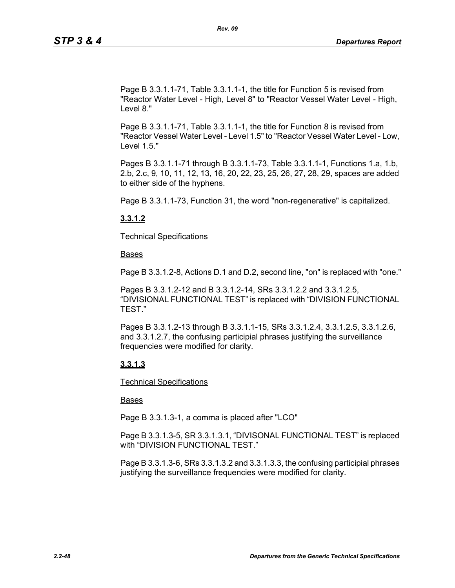Page B 3.3.1.1-71, Table 3.3.1.1-1, the title for Function 5 is revised from "Reactor Water Level - High, Level 8" to "Reactor Vessel Water Level - High, Level 8."

Page B 3.3.1.1-71, Table 3.3.1.1-1, the title for Function 8 is revised from "Reactor Vessel Water Level - Level 1.5" to "Reactor Vessel Water Level - Low, Level 1.5."

Pages B 3.3.1.1-71 through B 3.3.1.1-73, Table 3.3.1.1-1, Functions 1.a, 1.b, 2.b, 2.c, 9, 10, 11, 12, 13, 16, 20, 22, 23, 25, 26, 27, 28, 29, spaces are added to either side of the hyphens.

Page B 3.3.1.1-73, Function 31, the word "non-regenerative" is capitalized.

## **3.3.1.2**

Technical Specifications

Bases

Page B 3.3.1.2-8, Actions D.1 and D.2, second line, "on" is replaced with "one."

Pages B 3.3.1.2-12 and B 3.3.1.2-14, SRs 3.3.1.2.2 and 3.3.1.2.5, "DIVISIONAL FUNCTIONAL TEST" is replaced with "DIVISION FUNCTIONAL TEST."

Pages B 3.3.1.2-13 through B 3.3.1.1-15, SRs 3.3.1.2.4, 3.3.1.2.5, 3.3.1.2.6, and 3.3.1.2.7, the confusing participial phrases justifying the surveillance frequencies were modified for clarity.

## **3.3.1.3**

Technical Specifications

## Bases

Page B 3.3.1.3-1, a comma is placed after "LCO"

Page B 3.3.1.3-5, SR 3.3.1.3.1, "DIVISONAL FUNCTIONAL TEST" is replaced with "DIVISION FUNCTIONAL TEST."

Page B 3.3.1.3-6, SRs 3.3.1.3.2 and 3.3.1.3.3, the confusing participial phrases justifying the surveillance frequencies were modified for clarity.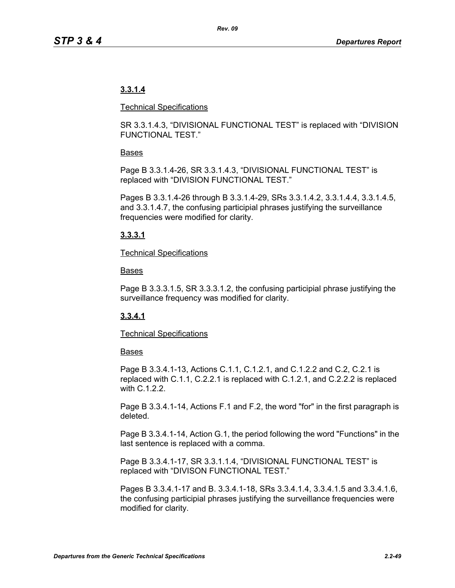# **3.3.1.4**

#### Technical Specifications

SR 3.3.1.4.3, "DIVISIONAL FUNCTIONAL TEST" is replaced with "DIVISION FUNCTIONAL TEST."

## Bases

Page B 3.3.1.4-26, SR 3.3.1.4.3, "DIVISIONAL FUNCTIONAL TEST" is replaced with "DIVISION FUNCTIONAL TEST."

Pages B 3.3.1.4-26 through B 3.3.1.4-29, SRs 3.3.1.4.2, 3.3.1.4.4, 3.3.1.4.5, and 3.3.1.4.7, the confusing participial phrases justifying the surveillance frequencies were modified for clarity.

# **3.3.3.1**

## Technical Specifications

## Bases

Page B 3.3.3.1.5, SR 3.3.3.1.2, the confusing participial phrase justifying the surveillance frequency was modified for clarity.

# **3.3.4.1**

## Technical Specifications

## **Bases**

Page B 3.3.4.1-13, Actions C.1.1, C.1.2.1, and C.1.2.2 and C.2, C.2.1 is replaced with C.1.1, C.2.2.1 is replaced with C.1.2.1, and C.2.2.2 is replaced with C.1.2.2.

Page B 3.3.4.1-14, Actions F.1 and F.2, the word "for" in the first paragraph is deleted.

Page B 3.3.4.1-14, Action G.1, the period following the word "Functions" in the last sentence is replaced with a comma.

Page B 3.3.4.1-17, SR 3.3.1.1.4, "DIVISIONAL FUNCTIONAL TEST" is replaced with "DIVISON FUNCTIONAL TEST."

Pages B 3.3.4.1-17 and B. 3.3.4.1-18, SRs 3.3.4.1.4, 3.3.4.1.5 and 3.3.4.1.6, the confusing participial phrases justifying the surveillance frequencies were modified for clarity.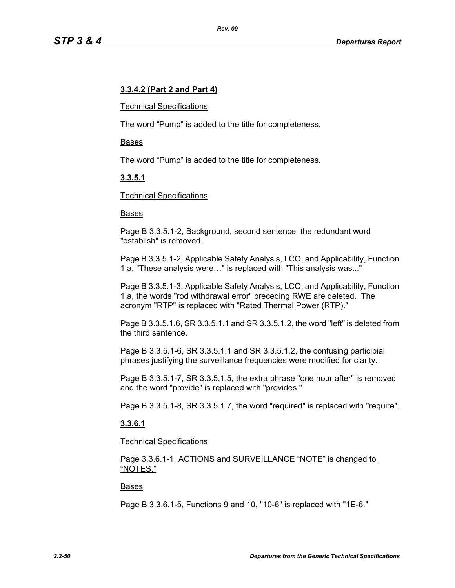## **3.3.4.2 (Part 2 and Part 4)**

#### Technical Specifications

The word "Pump" is added to the title for completeness.

#### Bases

The word "Pump" is added to the title for completeness.

# **3.3.5.1**

#### Technical Specifications

#### Bases

Page B 3.3.5.1-2, Background, second sentence, the redundant word "establish" is removed.

Page B 3.3.5.1-2, Applicable Safety Analysis, LCO, and Applicability, Function 1.a, "These analysis were…" is replaced with "This analysis was..."

Page B 3.3.5.1-3, Applicable Safety Analysis, LCO, and Applicability, Function 1.a, the words "rod withdrawal error" preceding RWE are deleted. The acronym "RTP" is replaced with "Rated Thermal Power (RTP)."

Page B 3.3.5.1.6, SR 3.3.5.1.1 and SR 3.3.5.1.2, the word "left" is deleted from the third sentence.

Page B 3.3.5.1-6, SR 3.3.5.1.1 and SR 3.3.5.1.2, the confusing participial phrases justifying the surveillance frequencies were modified for clarity.

Page B 3.3.5.1-7, SR 3.3.5.1.5, the extra phrase "one hour after" is removed and the word "provide" is replaced with "provides."

Page B 3.3.5.1-8, SR 3.3.5.1.7, the word "required" is replaced with "require".

## **3.3.6.1**

Technical Specifications

Page 3.3.6.1-1, ACTIONS and SURVEILLANCE "NOTE" is changed to "NOTES."

#### Bases

Page B 3.3.6.1-5, Functions 9 and 10, "10-6" is replaced with "1E-6."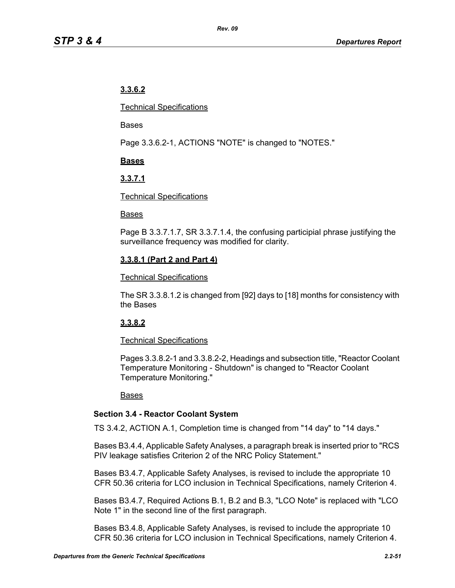# **3.3.6.2**

Technical Specifications

Bases

Page 3.3.6.2-1, ACTIONS "NOTE" is changed to "NOTES."

# **Bases**

# **3.3.7.1**

## Technical Specifications

## Bases

Page B 3.3.7.1.7, SR 3.3.7.1.4, the confusing participial phrase justifying the surveillance frequency was modified for clarity.

# **3.3.8.1 (Part 2 and Part 4)**

## Technical Specifications

The SR 3.3.8.1.2 is changed from [92] days to [18] months for consistency with the Bases

# **3.3.8.2**

# Technical Specifications

Pages 3.3.8.2-1 and 3.3.8.2-2, Headings and subsection title, "Reactor Coolant Temperature Monitoring - Shutdown" is changed to "Reactor Coolant Temperature Monitoring."

# Bases

# **Section 3.4 - Reactor Coolant System**

TS 3.4.2, ACTION A.1, Completion time is changed from "14 day" to "14 days."

Bases B3.4.4, Applicable Safety Analyses, a paragraph break is inserted prior to "RCS PIV leakage satisfies Criterion 2 of the NRC Policy Statement."

Bases B3.4.7, Applicable Safety Analyses, is revised to include the appropriate 10 CFR 50.36 criteria for LCO inclusion in Technical Specifications, namely Criterion 4.

Bases B3.4.7, Required Actions B.1, B.2 and B.3, "LCO Note" is replaced with "LCO Note 1" in the second line of the first paragraph.

Bases B3.4.8, Applicable Safety Analyses, is revised to include the appropriate 10 CFR 50.36 criteria for LCO inclusion in Technical Specifications, namely Criterion 4.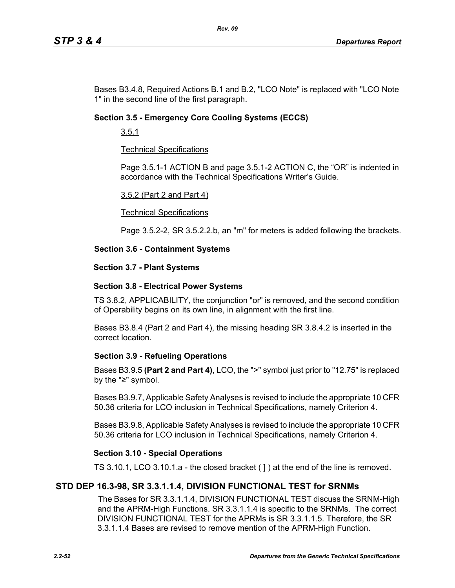Bases B3.4.8, Required Actions B.1 and B.2, "LCO Note" is replaced with "LCO Note 1" in the second line of the first paragraph.

## **Section 3.5 - Emergency Core Cooling Systems (ECCS)**

3.5.1

## Technical Specifications

Page 3.5.1-1 ACTION B and page 3.5.1-2 ACTION C, the "OR" is indented in accordance with the Technical Specifications Writer's Guide.

#### 3.5.2 (Part 2 and Part 4)

#### Technical Specifications

Page 3.5.2-2, SR 3.5.2.2.b, an "m" for meters is added following the brackets.

## **Section 3.6 - Containment Systems**

#### **Section 3.7 - Plant Systems**

## **Section 3.8 - Electrical Power Systems**

TS 3.8.2, APPLICABILITY, the conjunction "or" is removed, and the second condition of Operability begins on its own line, in alignment with the first line.

Bases B3.8.4 (Part 2 and Part 4), the missing heading SR 3.8.4.2 is inserted in the correct location.

## **Section 3.9 - Refueling Operations**

Bases B3.9.5 **(Part 2 and Part 4)**, LCO, the ">" symbol just prior to "12.75" is replaced by the "≥" symbol.

Bases B3.9.7, Applicable Safety Analyses is revised to include the appropriate 10 CFR 50.36 criteria for LCO inclusion in Technical Specifications, namely Criterion 4.

Bases B3.9.8, Applicable Safety Analyses is revised to include the appropriate 10 CFR 50.36 criteria for LCO inclusion in Technical Specifications, namely Criterion 4.

## **Section 3.10 - Special Operations**

TS 3.10.1, LCO 3.10.1.a - the closed bracket ( ] ) at the end of the line is removed.

# **STD DEP 16.3-98, SR 3.3.1.1.4, DIVISION FUNCTIONAL TEST for SRNMs**

The Bases for SR 3.3.1.1.4, DIVISION FUNCTIONAL TEST discuss the SRNM-High and the APRM-High Functions. SR 3.3.1.1.4 is specific to the SRNMs. The correct DIVISION FUNCTIONAL TEST for the APRMs is SR 3.3.1.1.5. Therefore, the SR 3.3.1.1.4 Bases are revised to remove mention of the APRM-High Function.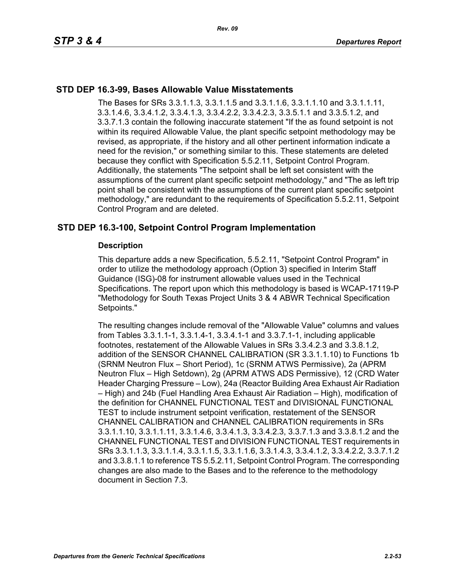## **STD DEP 16.3-99, Bases Allowable Value Misstatements**

The Bases for SRs 3.3.1.1.3, 3.3.1.1.5 and 3.3.1.1.6, 3.3.1.1.10 and 3.3.1.1.11, 3.3.1.4.6, 3.3.4.1.2, 3.3.4.1.3, 3.3.4.2.2, 3.3.4.2.3, 3.3.5.1.1 and 3.3.5.1.2, and 3.3.7.1.3 contain the following inaccurate statement "If the as found setpoint is not within its required Allowable Value, the plant specific setpoint methodology may be revised, as appropriate, if the history and all other pertinent information indicate a need for the revision," or something similar to this. These statements are deleted because they conflict with Specification 5.5.2.11, Setpoint Control Program. Additionally, the statements "The setpoint shall be left set consistent with the assumptions of the current plant specific setpoint methodology," and "The as left trip point shall be consistent with the assumptions of the current plant specific setpoint methodology," are redundant to the requirements of Specification 5.5.2.11, Setpoint Control Program and are deleted.

## **STD DEP 16.3-100, Setpoint Control Program Implementation**

#### **Description**

This departure adds a new Specification, 5.5.2.11, "Setpoint Control Program" in order to utilize the methodology approach (Option 3) specified in Interim Staff Guidance (ISG)-08 for instrument allowable values used in the Technical Specifications. The report upon which this methodology is based is WCAP-17119-P "Methodology for South Texas Project Units 3 & 4 ABWR Technical Specification Setpoints."

The resulting changes include removal of the "Allowable Value" columns and values from Tables 3.3.1.1-1, 3.3.1.4-1, 3.3.4.1-1 and 3.3.7.1-1, including applicable footnotes, restatement of the Allowable Values in SRs 3.3.4.2.3 and 3.3.8.1.2, addition of the SENSOR CHANNEL CALIBRATION (SR 3.3.1.1.10) to Functions 1b (SRNM Neutron Flux – Short Period), 1c (SRNM ATWS Permissive), 2a (APRM Neutron Flux – High Setdown), 2g (APRM ATWS ADS Permissive), 12 (CRD Water Header Charging Pressure – Low), 24a (Reactor Building Area Exhaust Air Radiation – High) and 24b (Fuel Handling Area Exhaust Air Radiation – High), modification of the definition for CHANNEL FUNCTIONAL TEST and DIVISIONAL FUNCTIONAL TEST to include instrument setpoint verification, restatement of the SENSOR CHANNEL CALIBRATION and CHANNEL CALIBRATION requirements in SRs 3.3.1.1.10, 3.3.1.1.11, 3.3.1.4.6, 3.3.4.1.3, 3.3.4.2.3, 3.3.7.1.3 and 3.3.8.1.2 and the CHANNEL FUNCTIONAL TEST and DIVISION FUNCTIONAL TEST requirements in SRs 3.3.1.1.3, 3.3.1.1.4, 3.3.1.1.5, 3.3.1.1.6, 3.3.1.4.3, 3.3.4.1.2, 3.3.4.2.2, 3.3.7.1.2 and 3.3.8.1.1 to reference TS 5.5.2.11, Setpoint Control Program. The corresponding changes are also made to the Bases and to the reference to the methodology document in Section 7.3.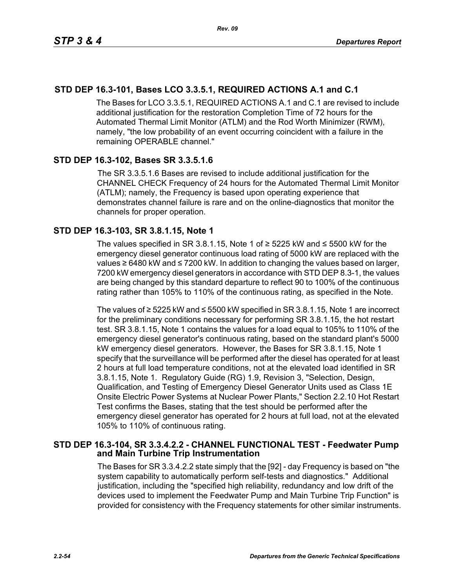# **STD DEP 16.3-101, Bases LCO 3.3.5.1, REQUIRED ACTIONS A.1 and C.1**

The Bases for LCO 3.3.5.1, REQUIRED ACTIONS A.1 and C.1 are revised to include additional justification for the restoration Completion Time of 72 hours for the Automated Thermal Limit Monitor (ATLM) and the Rod Worth Minimizer (RWM), namely, "the low probability of an event occurring coincident with a failure in the remaining OPERABLE channel."

## **STD DEP 16.3-102, Bases SR 3.3.5.1.6**

The SR 3.3.5.1.6 Bases are revised to include additional justification for the CHANNEL CHECK Frequency of 24 hours for the Automated Thermal Limit Monitor (ATLM); namely, the Frequency is based upon operating experience that demonstrates channel failure is rare and on the online-diagnostics that monitor the channels for proper operation.

## **STD DEP 16.3-103, SR 3.8.1.15, Note 1**

The values specified in SR 3.8.1.15, Note 1 of  $≥$  5225 kW and  $≤$  5500 kW for the emergency diesel generator continuous load rating of 5000 kW are replaced with the values ≥ 6480 kW and ≤ 7200 kW. In addition to changing the values based on larger, 7200 kW emergency diesel generators in accordance with STD DEP 8.3-1, the values are being changed by this standard departure to reflect 90 to 100% of the continuous rating rather than 105% to 110% of the continuous rating, as specified in the Note.

The values of ≥ 5225 kW and ≤ 5500 kW specified in SR 3.8.1.15, Note 1 are incorrect for the preliminary conditions necessary for performing SR 3.8.1.15, the hot restart test. SR 3.8.1.15, Note 1 contains the values for a load equal to 105% to 110% of the emergency diesel generator's continuous rating, based on the standard plant's 5000 kW emergency diesel generators. However, the Bases for SR 3.8.1.15, Note 1 specify that the surveillance will be performed after the diesel has operated for at least 2 hours at full load temperature conditions, not at the elevated load identified in SR 3.8.1.15, Note 1. Regulatory Guide (RG) 1.9, Revision 3, "Selection, Design, Qualification, and Testing of Emergency Diesel Generator Units used as Class 1E Onsite Electric Power Systems at Nuclear Power Plants," Section 2.2.10 Hot Restart Test confirms the Bases, stating that the test should be performed after the emergency diesel generator has operated for 2 hours at full load, not at the elevated 105% to 110% of continuous rating.

## **STD DEP 16.3-104, SR 3.3.4.2.2 - CHANNEL FUNCTIONAL TEST - Feedwater Pump and Main Turbine Trip Instrumentation**

The Bases for SR 3.3.4.2.2 state simply that the [92] - day Frequency is based on "the system capability to automatically perform self-tests and diagnostics." Additional justification, including the "specified high reliability, redundancy and low drift of the devices used to implement the Feedwater Pump and Main Turbine Trip Function" is provided for consistency with the Frequency statements for other similar instruments.